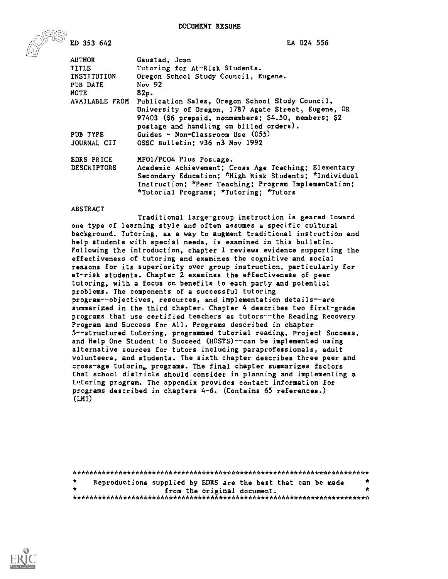EA 024 556

ED 353 642

| <b>AUTHOR</b>      | Gaustad, Joan                                                  |
|--------------------|----------------------------------------------------------------|
| TITLE              | Tutoring for At-Risk Students.                                 |
| INSTITUTION        | Oregon School Study Council, Eugene.                           |
| PUB DATE           | Nov 92                                                         |
| <b>NOTE</b>        | 82p.                                                           |
|                    | AVAILABLE FROM Publication Sales, Oregon School Study Council, |
|                    | University of Oregon, 1787 Agate Street, Eugene, OR            |
|                    | 97403 (\$6 prepaid, nonmembers; \$4.50, members; \$2           |
|                    | postage and handling on billed orders).                        |
| PUB TYPE           | Guides - Non-Classroom Use (055)                               |
| JOURNAL CIT        | OSSC Bulletin; v36 n3 Nov 1992                                 |
| EDRS PRICE         | MF01/PC04 Plus Postage.                                        |
| <b>DESCRIPTORS</b> | Academic Achievement; Cross Age Teaching; Elementary           |
|                    | Secondary Education; *High Risk Students; *Individual          |
|                    | Instruction; *Peer Teaching; Program Implementation;           |
|                    | *Tutorial Programs; *Tutoring; *Tutors                         |

#### ABSTRACT

Traditional large-group instruction is geared toward one type of learning style and often assumes a specific cultural background. Tutoring, as a way to augment traditional instruction and help students with special needs, is examined in this bulletin. Following the introduction, chapter 1 reviews evidence supporting the effectiveness of tutoring and examines the cognitive and social reasons for its superiority over group instruction, particularly for at-risk students. Chapter 2 examines the effectiveness of peer tutoring, with a focus on benefits to each party and potential problems. The components of a successful tutoring program--objectives, resources, and implementation details--are summarized in the third chapter. Chapter 4 describes two first-grade programs that use certified teachers as tutors--the Reading Recovery Program and Success for All. Programs described in chapter 5--structured tutoring, programmed tutorial reading, Project Success, and Help One Student to Succeed (HOSTS)--can be implemented using alternative sources for tutors including paraprofessionals, adult volunteers, and students. The sixth chapter describes three peer and cross-age tutoring, programs. The final chapter summarizes factors that school districts should consider in planning and implementing a tutoring program. The appendix provides contact information for programs described in chapters 4-6. (Contains 65 references.) (LMI)

| *       | Reproductions supplied by EDRS are the best that can be made | * |  |  |  |  |  |
|---------|--------------------------------------------------------------|---|--|--|--|--|--|
| $\star$ | from the original document.                                  |   |  |  |  |  |  |
|         |                                                              |   |  |  |  |  |  |

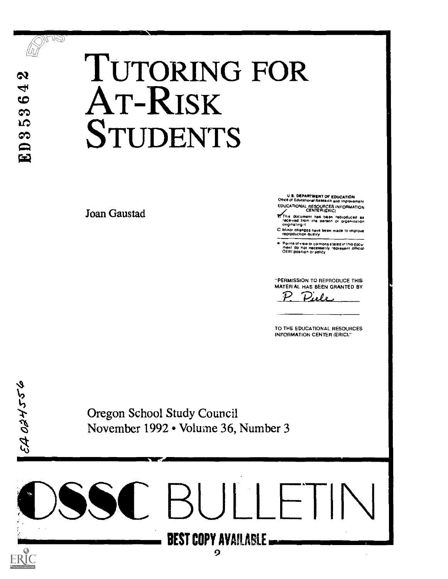

EA OBHSS6

MAQ

# **egy** TUTORING FOR AT-RISK ិន<br>Et STUDENTS

Joan Gaustad

U.S. DEPARTMENT OF EDUCATION<br>Ofice of Educational Research and Improvement

EDUCATIONAL RESOURCES INFORMATION CENTER (ERIC)

- **Ef** This document has been reproduced as<br>- received from the person or organization<br>- originating it
- C Minor changes have been made to improve<br>reproduction quality

Points of view or opinions stated in this docui<br>meal : do inot necessarily -represent Iollicial<br>OERI position or policy

"PERMISSION TO REPRODUCE THIS MATERIAL HAS BEEN GRANTED BY

Piele  $\mathcal{P}$ 

TO THE EDUCATIONAL RESOURCES INFORMATION CENTER (ERIC)."

Oregon School Study Council November 1992 • Volume 36, Number 3

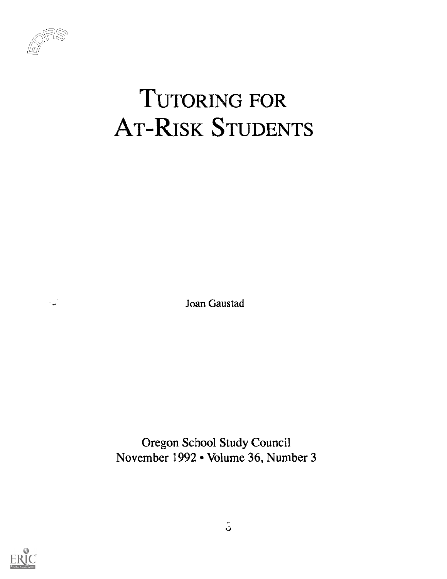

 $\mathbb{R}$ 

# TUTORING FOR AT-RISK STUDENTS

Joan Gaustad

Oregon School Study Council November 1992 • Volume 36, Number 3

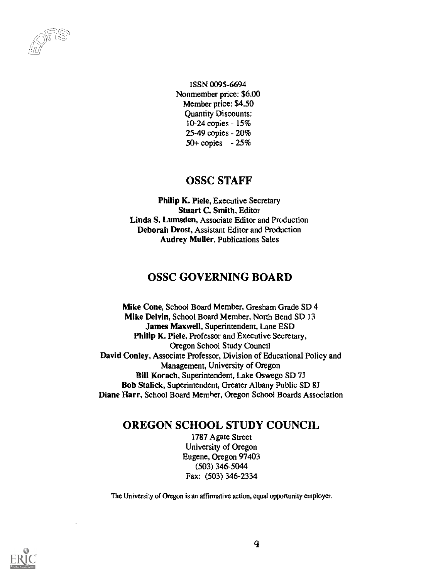ISSN 0095-6694 Nonmember price: \$6.00 Member price: \$4.50 Quantity Discounts: 10-24 copies - 15% 25-49 copies - 20% 50+ copies - 25%

#### OSSC STAFF

Philip K. Piele, Executive Secretary Stuart C. Smith, Editor Linda S. Lumsden, Associate Editor and Production Deborah Drost, Assistant Editor and Production Audrey Muller, Publications Sales

#### OSSC GOVERNING BOARD

Mike Cone, School Board Member, Gresham Grade SD 4 Mike Delvin, School Board Member, North Bend SD 13 James Maxwell, Superintendent, Lane ESD Philip K. Piele, Professor and Executive Secretary, Oregon School Study Council David Conley, Associate Professor, Division of Educational Policy and Management, University of Oregon Bill Korach, Superintendent, Lake Oswego SD 7J Bob Stalick, Superintendent, Greater Albany Public SD 8J Diane Harr, School Board Member, Oregon School Boards Association

#### OREGON SCHOOL STUDY COUNCIL

1787 Agate Street University of Oregon Eugene, Oregon 97403 (503) 346-5044 Fax: (503) 346-2334

The Universi:y of Oregon is an affirmative action, equal opportunity employer.

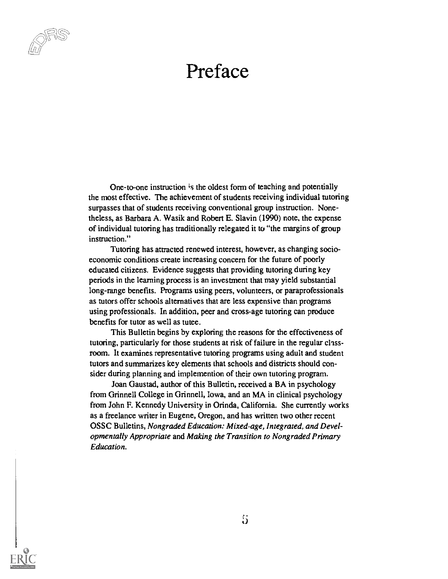

One-to-one instruction is the oldest form of teaching and potentially the most effective. The achievement of students receiving individual tutoring surpasses that of students receiving conventional group instruction. Nonetheless, as Barbara A. Wasik and Robert E. Slavin (1990) note, the expense of individual tutoring has traditionally relegated it to "the margins of group instruction."

Tutoring has attracted renewed interest, however, as changing socioeconomic conditions create increasing concern for the future of poorly educated citizens. Evidence suggests that providing tutoring during key periods in the learning process is an investment that may yield substantial long-range benefits. Programs using peers, volunteers, or paraprofessionals as tutors offer schools alternatives that are less expensive than programs using professionals. In addition, peer and cross-age tutoring can produce benefits for tutor as well as tutee.

This Bulletin begins by exploring the reasons for the effectiveness of tutoring, particularly for those students at risk of failure in the regular chassroom. It examines representative tutoring programs using adult and student tutors and summarizes key elements that schools and districts should consider during planning and implemention of their own tutoring program.

Joan Gaustad, author of this Bulletin, received a BA in psychology from Grinnell College in Grinnell, Iowa, and an MA in clinical psychology from John F. Kennedy University in Orinda, California. She currently works as a freelance writer in Eugene, Oregon, and has written two other recent OSSC Bulletins, Nongraded Education: Mixed-age, Integrated, and Developmentally Appropriate and Making the Transition to Nongraded Primary Education.

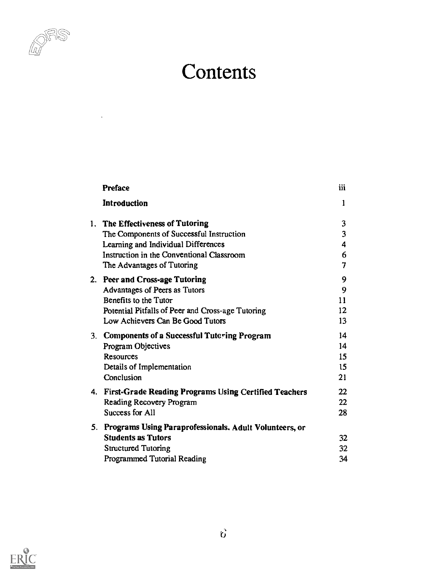

 $\langle \cdot, \cdot \rangle$ 

# **Contents**

| Preface                                                   | iii |  |
|-----------------------------------------------------------|-----|--|
| Introduction                                              | 1   |  |
| 1. The Effectiveness of Tutoring                          | 3   |  |
| The Components of Successful Instruction                  | 3   |  |
| Learning and Individual Differences                       | 4   |  |
| Instruction in the Conventional Classroom                 | 6   |  |
| The Advantages of Tutoring                                | 7   |  |
| 2. Peer and Cross-age Tutoring                            | 9   |  |
| Advantages of Peers as Tutors                             | 9   |  |
| Benefits to the Tutor                                     | 11  |  |
| Potential Pitfalls of Peer and Cross-age Tutoring         | 12  |  |
| Low Achievers Can Be Good Tutors                          | 13  |  |
| 3. Components of a Successful Tutcring Program            | 14  |  |
| Program Objectives                                        | 14  |  |
| <b>Resources</b>                                          | 15  |  |
| Details of Implementation                                 | 15  |  |
| Conclusion                                                | 21  |  |
| 4. First-Grade Reading Programs Using Certified Teachers  | 22  |  |
| Reading Recovery Program                                  | 22  |  |
| Success for All                                           | 28  |  |
| 5. Programs Using Paraprofessionals. Adult Volunteers, or |     |  |
| <b>Students as Tutors</b>                                 | 32  |  |
| <b>Structured Tutoring</b>                                | 32  |  |
| Programmed Tutorial Reading                               | 34  |  |

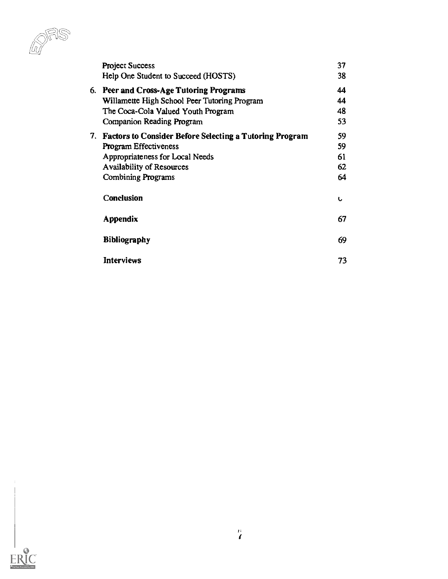$\widehat{\ell\!u\!l}$ 

| <b>Project Success</b>                                     | 37 |  |
|------------------------------------------------------------|----|--|
| Help One Student to Succeed (HOSTS)                        | 38 |  |
| 6. Peer and Cross-Age Tutoring Programs                    | 44 |  |
| Willamette High School Peer Tutoring Program               | 44 |  |
| The Coca-Cola Valued Youth Program                         | 48 |  |
| Companion Reading Program                                  | 53 |  |
| 7. Factors to Consider Before Selecting a Tutoring Program | 59 |  |
| Program Effectiveness                                      | 59 |  |
| Appropriateness for Local Needs                            | 61 |  |
| <b>Availability of Resources</b>                           | 62 |  |
| <b>Combining Programs</b>                                  | 64 |  |
| Conclusion                                                 | U  |  |
| <b>Appendix</b>                                            | 67 |  |
| <b>Bibliography</b>                                        | 69 |  |
| Interviews                                                 | 73 |  |

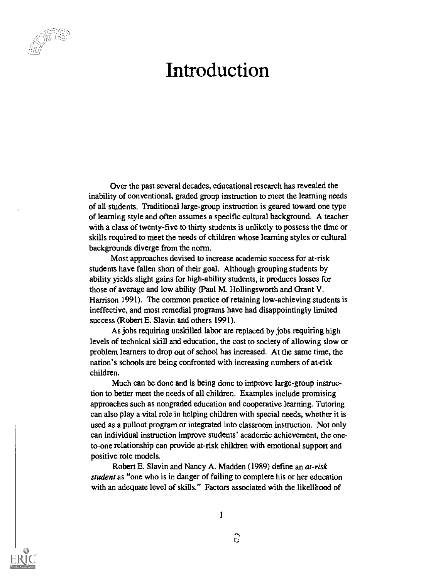### Introduction

Over the past several decades, educational research has revealed the inability of conventional, graded group instruction to meet the learning needs of all students. Traditional large-group instruction is geared toward one type of learning style and often assumes a specific cultural background. A teacher with a class of twenty-five to thirty students is unlikely to possess the time or skills required to meet the needs of children whose learning styles or cultural backgrounds diverge from the norm.

Most approaches devised to increase academic success for at-risk students have fallen short of their goal. Although grouping students by ability yields slight gains for high-ability students, it produces losses for those of average and low ability (Paul M. Hollingsworth and Grant V. Harrison 1991). The common practice of retaining low-achieving students is ineffective, and most remedial programs have had disappointingly limited success (Robert E. Slavin and others 1991).

As jobs requiring unskilled labor are replaced by jobs requiring high levels of technical skill and education, the cost to society of allowing slow or problem learners to drop out of school has increased. At the same time, the nation's schools are being confronted with increasing numbers of at-risk children.

Much can be done and is being done to improve large-group instruction to better meet the needs of all children. Examples include promising approaches such as nongraded education and cooperative learning. Tutoring can also play a vital role in helping children with special needs, whether it is used as a pullout program or integrated into classroom instruction. Not only can individual instruction improve students' academic achievement, the oneto-one relationship can provide at-risk children with emotional support and positive role models.

Robert E. Slavin and Nancy A. Madden (1989) define an at-risk student as "one who is in danger of failing to complete his or her education with an adequate level of skills." Factors associated with the likelihood of



ි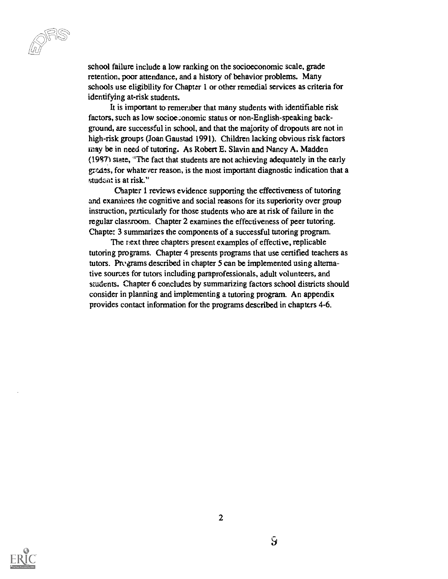school failure include a low ranking on the socioeconomic scale, grade retention, poor attendance, and a history of behavior problems. Many schools use eligibility for Chapter 1 or other remedial services as criteria for identifying at-risk students.

It is important to remember that many students with identifiable risk factors, such as low socioeconomic status or non-English-speaking background, are successful in school, and that the majority of dropouts are not in high-risk groups (Joan Gaustad 1991). Children lacking obvious risk factors may be in need of tutoring. As Robert E. Slavin and Nancy A. Madden (1987) state, "The fact that students are not achieving adequately in the early grades, for whatever reason, is the most important diagnostic indication that a student is at risk."

Chapter 1 reviews evidence supporting the effectiveness of tutoring and examines the cognitive and social reasons for its superiority over group instruction, particularly for those students who are at risk of failure in the regular classroom. Chapter 2 examines the effectiveness of peer tutoring. Chapter 3 summarizes the components of a successful tutoring program.

The next three chapters present examples of effective, replicable tutoring programs. Chapter 4 presents programs that use certified teachers as tutors. Programs described in chapter 5 can be implemented using alternative sources for tutors including paraprofessionals, adult volunteers, and students. Chapter 6 concludes by summarizing factors school districts should consider in planning and implementing a tutoring program. An appendix provides contact information for the programs described in chapters 4-6.



 $\mathbf S$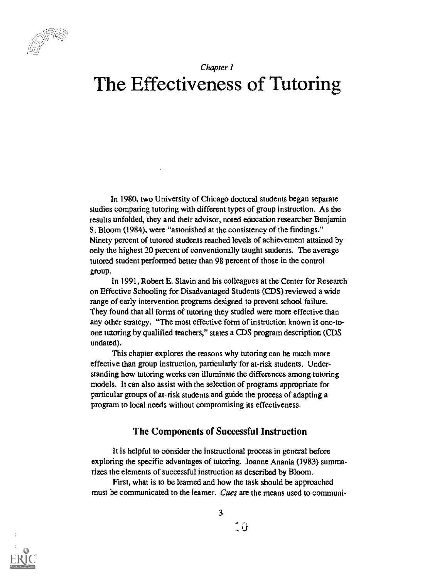

#### Chapter 1

## The Effectiveness of Tutoring

In 1980, two University of Chicago doctoral students began separate studies comparing tutoring with different types of group instruction. As the results unfolded, they and their advisor, noted education researcher Benjamin S. Bloom (1984), were "astonished at the consistency of the findings." Ninety percent of tutored students reached levels of achievement attained by only the highest 20 percent of conventionally taught students. The average tutored student performed better than 98 percent of those in the control group.

In 1991, Robert E. Slavin and his colleagues at the Center for Research on Effective Schooling for Disadvantaged Students (CDS) reviewed a wide range of early intervention programs designed to prevent school failure. They found that all forms of tutoring they studied were more effective than any other strategy. "The most effective form of instruction known is one-toone tutoring by qualified teachers," states a CDS program description (CDS undated).

This chapter explores the reasons why tutoring can be much more effective than group instruction, particularly for at-risk students. Understanding how tutoring works can illuminate the differences among tutoring models. It can also assist with the selection of programs appropriate for particular groups of at-risk students and guide the process of adapting a program to local needs without compromising its effectiveness.

#### The Components of Successful Instruction

It is helpful to consider the instructional process in general before exploring the specific advantages of tutoring. Joanne Anania (1983) summarizes the elements of successful instruction as described by Bloom.

First, what is to be learned and how the task should be approached must be communicated to the learner. Cues are the means used to communi-



: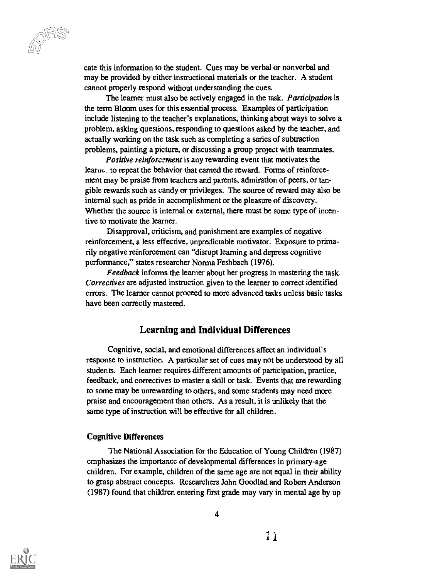cate this information to the student. Cues may be verbal or nonverbal and may be provided by either instructional materials or the teacher. A student cannot properly respond without understanding the cues.

The learner must also be actively engaged in the task. *Participation* is the term Bloom uses for this essential process. Examples of participation include listening to the teacher's explanations, thinking about ways to solve a problem, asking questions, responding to questions asked by the teacher, and actually working on the task such as completing a series of subtraction problems, painting a picture, or discussing a group project with teammates.

Positive reinforcament is any rewarding event that motivates the learne. to repeat the behavior that earned the reward. Forms of reinforcement may be praise from teachers and parents, admiration of peers, or tangible rewards such as candy or privileges. The source of reward may also be internal such as pride in accomplishment or the pleasure of discovery. Whether the source is internal or external, there must be some type of incentive to motivate the learner.

Disapproval, criticism, and punishment are examples of negative reinforcement, a less effective, unpredictable motivator. Exposure to primarily negative reinforcement can "disrupt learning and depress cognitive performance," states researcher Norma Feshbach (1976).

Feedback informs the learner about her progress in mastering the task. Correctives are adjusted instruction given to the learner to correct identified errors. The learner cannot proceed to more advanced tasks unless basic tasks have been correctly mastered.

#### Learning and Individual Differences

Cognitive, social, and emotional differences affect an individual's response to instruction. A particular set of cues may not be understood by all students. Each learner requires different amounts of participation, practice, feedback, and correctives to master a skill or task. Events that are rewarding to some may be unrewarding to others, and some students may need more praise and encouragement than others. As a result, it is unlikely that the same type of instruction will be effective for all children.

#### Cognitive Differences

The National Association for the Education of Young Children (1987) emphasizes the importance of developmental differences in primary-age children. For example, children of the same age are not equal in their ability to grasp abstract concepts. Researchers John Goodlad and Robert Anderson (1987) found that children entering first grade may vary in mental age by up

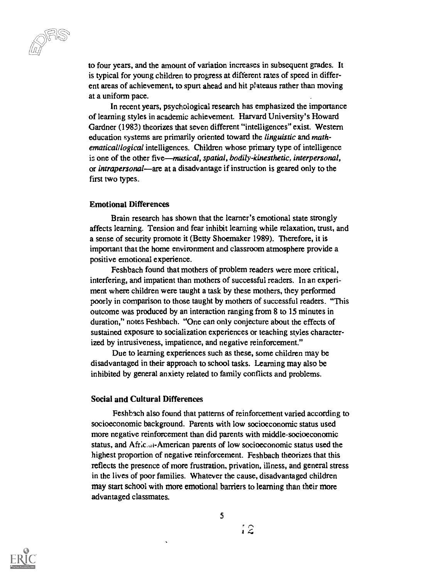laaji ka

to four years, and the amount of variation increases in subsequent grades. It is typical for young children to progress at different rates of speed in different areas of achievement, to spurt ahead and hit plateaus rather than moving at a uniform pace.

In recent years, psychological research has emphasized the importance of learning styles in academic achievement. Harvard University's Howard Gardner (1983) theorizes that seven different "intelligences" exist. Western education systems are primarily oriented toward the linguistic and mathematical/logical intelligences. Children whose primary type of intelligence is one of the other five—musical, spatial, bodily-kinesthetic, interpersonal, or *intrapersonal*—are at a disadvantage if instruction is geared only to the first two types.

#### Emotional Differences

Brain research has shown that the learner's emotional state strongly affects learning. Tension and fear inhibit learning while relaxation, trust, and a sense of security promote it (Betty Shoemaker 1989). Therefore, it is important that the home environment and classroom atmosphere provide a positive emotional experience.

Feshbach found that mothers of problem readers were more critical, interfering, and impatient than mothers of successful readers. In an experiment where children were taught a task by these mothers, they performed poorly in comparison to those taught by mothers of successful readers. "This outcome was produced by an interaction ranging from 8 to 15 minutes in duration," notes Feshbach. "One can only conjecture about the effects of sustained exposure to socialization experiences or teaching styles characterized by intrusiveness, impatience, and negative reinforcement."

Due to learning experiences such as these, some children may be disadvantaged in their approach to school tasks. Learning may also be inhibited by general anxiety related to family conflicts and problems.

#### Social and Cultural Differences

Feshbach also found that patterns of reinforcement varied according to socioeconomic background. Parents with low socioeconomic status used more negative reinforcement than did parents with middle-socioeconomic status, and Africian-American parents of low socioeconomic status used the highest proportion of negative reinforcement. Feshbach theorizes that this reflects the presence of more frustration, privation, illness, and general stress in the lives of poor families. Whatever the cause, disadvantaged children may start school with more emotional barriers to learning than their more advantaged classmates.



12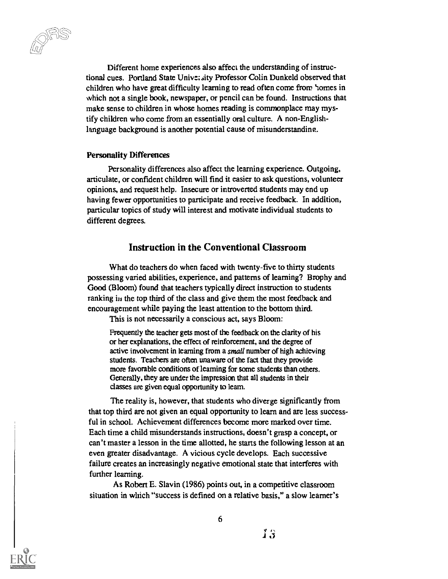Different home experiences also affect the understanding of instructional cues. Portland State University Professor Colin Dunkeld observed that children who have great difficulty learning to read often come from 'tomes in which not a single book, newspaper, or pencil can be found. Instructions that make sense to children in whose homes reading is commonplace may mystify children who come from an essentially oral culture. A non-Englishlanguage background is another potential cause of misunderstanding.

#### Personality Differences

Personality differences also affect the learning experience. Outgoing, articulate, or confident children will find it easier to ask questions, volunteer opinions, and request help. Insecure or introverted students may end up having fewer opportunities to participate and receive feedback. In addition, particular topics of study will interest and motivate individual students to different degrees.

#### Instruction in the Conventional Classroom

What do teachers do when faced with twenty-five to thirty students possessing varied abilities, experience, and patterns of learning? Brophy and Good (Bloom) found that teachers typically direct instruction to students ranking in the top third of the class and give them the most feedback and encouragement while paying the least attention to the bottom third.

This is not necessarily a conscious act, says Bloom:

Frequently the teacher gets most of the feedback on the clarity of his or her explanations, the effect of reinforcement, and the degree of active involvement in learning from a small number of high achieving students. Teachers are often unaware of the fact that they provide more favorable conditions of learning for some students than others. Generally, they are under the impression that all students in their classes are given equal opportunity to learn.

The reality is, however, that students who diverge significantly from that top third are not given an equal opportunity to learn and are less successful in school. Achievement differences become more marked over time. Each time a child misunderstands instructions, doesn't grasp a concept, or can't master a lesson in the time allotted, he starts the following lesson at an even greater disadvantage. A vicious cycle develops. Each successive failure creates an increasingly negative emotional state that interferes with further learning.

As Robert E. Slavin (1986) points out, in a competitive classroom situation in which "success is defined on a relative basis," a slow learner's

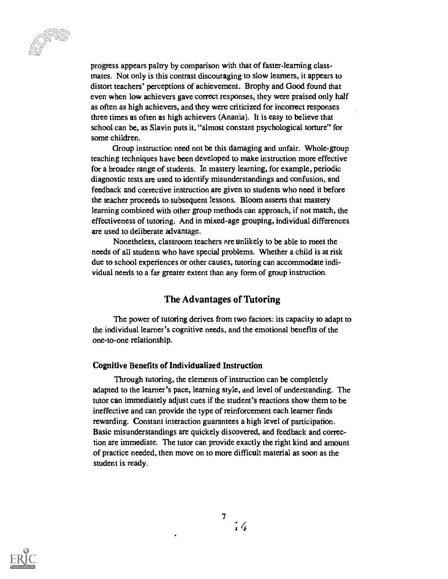progress appears paltry by comparison with that of faster-learning classmates. Not only is this contrast discouraging to slow learners, it appears to distort teachers' perceptions of achievement. Brophy and Good found that even when low achievers gave correct responses, they were praised only half as often as high achievers, and they were criticized for incorrect responses three times as often as high achievers (Anania). It is easy to believe that school can be, as Slavin puts it, "almost constant psychological torture" for some children.

Group instruction need not be this damaging and unfair. Whole-group teaching techniques have been developed to make instruction more effective for a broader range of students. In mastery learning, for example, periodic diagnostic tests are used to identify misunderstandings and confusion, and feedback and corrective instruction are given to students who need it before the teacher proceeds to subsequent lessons. Bloom asserts that mastery learning combined with other group methods can approach, if not match, the effectiveness of tutoring. And in mixed-age grouping, individual differences are used to deliberate advantage.

Nonetheless, classroom teachers are unlikely to be able to meet the needs of all students who have special problems. Whether a child is at risk due to school experiences or other causes, tutoring can accommodate individual needs to a far greater extent than any form of group instruction.

#### The Advantages of Tutoring

The power of tutoring derives from two factors: its capacity to adapt to the individual learner's cognitive needs, and the emotional benefits of the one-to-one relationship.

#### Cognitive Benefits of Individualized Instruction

Through tutoring, the elements of instruction can be completely adapted to the learner's pace, learning style, and level of understanding. The tutor can immediately adjust cues if the student's reactions show them to be ineffective and can provide the type of reinforcement each learner finds rewarding. Constant interaction guarantees a high level of participation. Basic misunderstandings are quickely discovered, and feedback and correction are immediate. The tutor can provide exactly the right kind and amount of practice needed, then move on to more difficult material as soon as the student is ready.



 $\epsilon$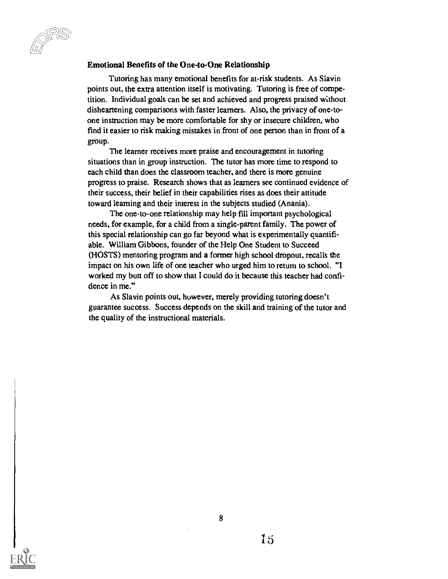uu -

#### Emotional Benefits of the One-to-One Relationship

Tutoring has many emotional benefits for at-risk students. As Slavin points out, the extra attention itself is motivating. Tutoring is free of competition. Individual goals can be set and achieved and progress praised without disheartening comparisons with faster learners, Also, the privacy of one-toone instruction may be more comfortable for shy or insecure children, who find it easier to risk making mistakes in front of one person than in front of a group.

The learner receives more praise and encouragement in tutoring situations than in group instruction. The tutor has more time to respond to each child than does the classroom teacher, and there is more genuine progress to praise. Research shows that as learners see continued evidence of their success, their belief in their capabilities rises as does their attitude toward learning and their interest in the subjects studied (Anania).

The one-to-one relationship may help fill important psychological needs, for example, for a child from a single-parent family. The power of this special relationship can go far beyond what is experimentally quantifiable. William Gibbons, founder of the Help One Student to Succeed (HOSTS) mentoring program and a former high school dropout, recalls the impact on his own life of one teacher who urged him to return to school. "I worked my butt off to show that I could do it because this teacher had confidence in me."

As Slavin points out, however, merely providing tutoring doesn't guarantee success. Success depends on the skill and training of the tutor and the quality of the instructional materials.

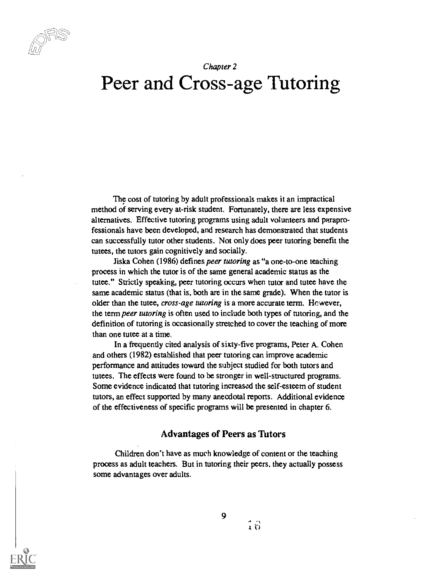

### Chapter 2 Peer and Cross-age Tutoring

The cost of tutoring by adult professionals makes it an impractical method of serving every at-risk student. Fortunately, there are less expensive alternatives. Effective tutoring programs using adult volunteers and paraprofessionals have been developed, and research has demonstrated that students can successfully tutor other students. Not only does peer tutoring benefit the tutees, the tutors gain cognitively and socially.

Jiska Cohen (1986) defines peer tutoring as "a one-to-one teaching process in which the tutor is of the same general academic status as the tutee." Strictly speaking, peer tutoring occurs when tutor and tutee have the same academic status (that is, both are in the same grade). When the tutor is older than the tutee, cross-age tutoring is a more accurate term. However, the term peer tutoring is often used to include both types of tutoring, and the definition of tutoring is occasionally stretched to cover the teaching of more than one tutee at a time.

In a frequently cited analysis of sixty-five programs, Peter A. Cohen and others (1982) established that peer tutoring can improve academic performance and attitudes toward the subject studied for both tutors and tutees. The effects were found to be stronger in well-structured programs. Some evidence indicated that tutoring increased the self-esteem of student tutors, an effect supported by many anecdotal reports. Additional evidence of the effectiveness of specific programs will be presented in chapter 6.

#### Advantages of Peers as Tutors

Children don't have as much knowledge of content or the teaching process as adult teachers. But in tutoring their peers, they actually possess some advantages over adults.

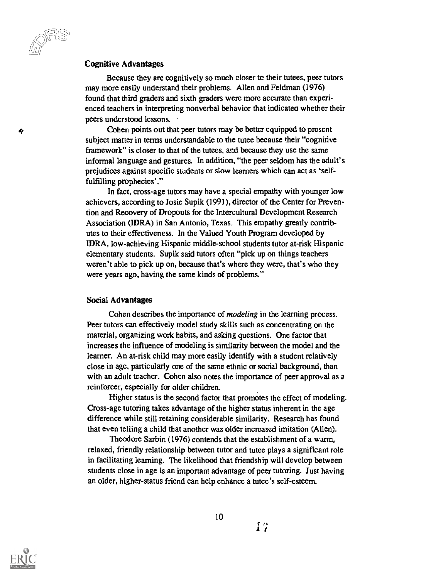#### Cognitive Advantages

Because they are cognitively so much closer to their tutees, peer tutors may more easily understand their problems. Allen and Feldman (1976) found that third graders and sixth graders were more accurate than experienced teachers in interpreting nonverbal behavior that indicatea whether their peers understood lessons.

Cohen points out that peer tutors may be better equipped to present subject matter in terms understandable to the tutee because their "cognitive framework" is closer to that of the tutees, and because they use the same informal language and gestures. In addition, "the peer seldom has the adult's prejudices against specific students or slow learners which can act as `selffulfilling prophecies'."

In fact, cross-age tutors may have a special empathy with younger low achievers, according to Josie Supik (1991), director of the Center for Prevention and Recovery of Dropouts for the Intercultural Development Research Association (IDRA) in San Antonio, Texas. This empathy greatly contributes to their effectiveness. In the Valued Youth Program developed by IDRA, low-achieving Hispanic middle-school students tutor at-risk Hispanic elementary students. Supik said tutors often "pick up on things teachers weren't able to pick up on, because that's where they were, that's who they were years ago, having the same kinds of problems."

#### Social Advantages

Cohen describes the importance of modeling in the learning process. Peer tutors can effectively model study skills such as concentrating on the material, organizing work habits, and asking questions. One factor that increases the influence of modeling is similarity between the model and the learner. An at-risk child may more easily identify with a student relatively close in age, particularly one of the same ethnic or social background, than with an adult teacher. Cohen also notes the importance of peer approval as a reinforcer, especially for older children.

Higher status is the second factor that promotes the effect of modeling. Cross-age tutoring takes advantage of the higher status inherent in the age difference while still retaining considerable similarity. Research has found that even telling a child that another was older increased imitation (Allen).

Theodore Sarbin (1976) contends that the establishment of a warm, relaxed, friendly relationship between tutor and tutee plays a significant role in facilitating learning. The likelihood that friendship will develop between students close in age is an important advantage of peer tutoring. Just having an older, higher-status friend can help enhance a tutee's self-esteem.

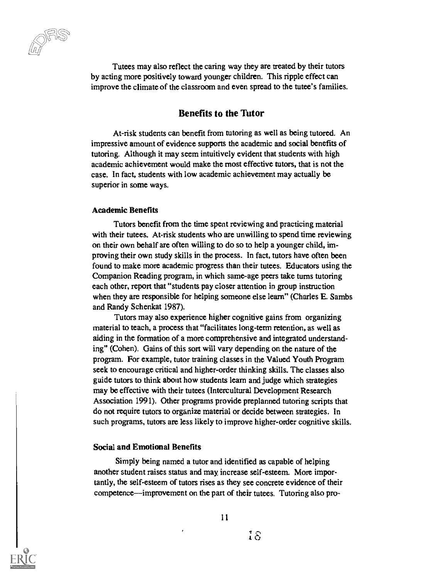Tutees may also reflect the caring way they are treated by their tutors by acting more positively toward younger children. This ripple effect can improve the climate of the classroom and even spread to the tutee's families.

#### Benefits to the Tutor

At-risk students can benefit from tutoring as well as being tutored. An impressive amount of evidence supports the academic and social benefits of tutoring. Although it may seem intuitively evident that students with high academic achievement would make the most effective tutors, that is not the case. In fact, students with low academic achievement may actually be superior in some ways.

#### Academic Benefits

Tutors benefit from the time spent reviewing and practicing material with their tutees. At-risk students who are unwilling to spend time reviewing on their own behalf are often willing to do so to help a younger child, improving their own study skills in the process. In fact, tutors have often been found to make more academic progress than their tutees. Educators using the Companion Reading program, in which same-age peers take turns tutoring each other, report that "students pay closer attention in group instruction when they are responsible for helping someone else learn" (Charles E. Sambs and Randy Schenkat 1987).

Tutors may also experience higher cognitive gains from organizing material to teach, a process that "facilitates long-term retention, as well as aiding in the formation of a more comprehensive and integrated understanding" (Cohen). Gains of this sort will vary depending on the nature of the program. For example, tutor training classes in the Valued Youth Program seek to encourage critical and higher-order thinking skills. The classes also guide tutors to think about how students learn and judge which strategies may be effective with their tutees (Intercultural Development Research Association 1991). Other programs provide preplanned tutoring scripts that do not require tutors to organize material or decide between strategies. In such programs, tutors are less likely to improve higher-order cognitive skills.

#### Social and Emotional Benefits

Simply being named a tutor and identified as capable of helping another student raises status and may, increase self-esteem. More importantly, the self-esteem of tutors rises as they see concrete evidence of their competence—improvement on the part of their tutees. Tutoring also pro-

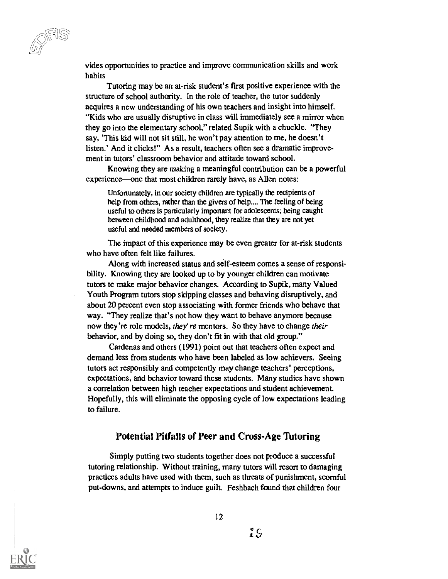vides opportunities to practice and improve communication skills and work habits

Tutoring may be an at-risk student's first positive experience with the structure of school authority. In the role of teacher, the tutor suddenly acquires a new understanding of his own teachers and insight into himself. "Kids who are usually disruptive in class will immediately see a mirror when they go into the elementary school," related Supik with a chuckle. "They say, 'This kid will not sit still, he won't pay attention to me, he doesn't listen.' And it clicks!" As a result, teachers often see a dramatic improvement in tutors' classroom behavior and attitude toward school.

Knowing they are making a meaningful contribution can be a powerful experience—one that most children rarely have, as Allen notes:

Unfortunately, in our society children are typically the recipients of help from others, rather than the givers of help.... The feeling of being useful to others is particularly imponant for adolescents; being caught between childhood and adulthood, they realize that they are not yet useful and needed members of society.

The impact of this experience may be even greater for at-risk students who have often felt like failures.

Along with increased status and self-esteem comes a sense of responsibility. Knowing they are looked up to by younger children can motivate tutors to make major behavior changes. According to Supik, many Valued Youth Program tutors stop skipping classes and behaving disruptively, and about 20 percent even stop associating with former friends who behave that way. "They realize that's not how they want to behave anymore because now they're role models, they're mentors. So they have to change their behavior, and by doing so, they don't fit in with that old group."

Cardenas and others (1991) point out that teachers often expect and demand less from students who have been labeled as low achievers. Seeing tutors act responsibly and competently may change teachers' perceptions, expectations, and behavior toward these students. Many studies have shown a correlation between high teacher expectations and student achievement. Hopefully, this will eliminate the opposing cycle of low expectations leading to failure.

#### Potential Pitfalls of Peer and Cross-Age Tutoring

Simply putting two students together does not produce a successful tutoring relationship. Without training, many tutors will resort to damaging practices adults have used with them, such as threats of punishment, scornful put-downs, and attempts to induce guilt. Feshbach found that children four

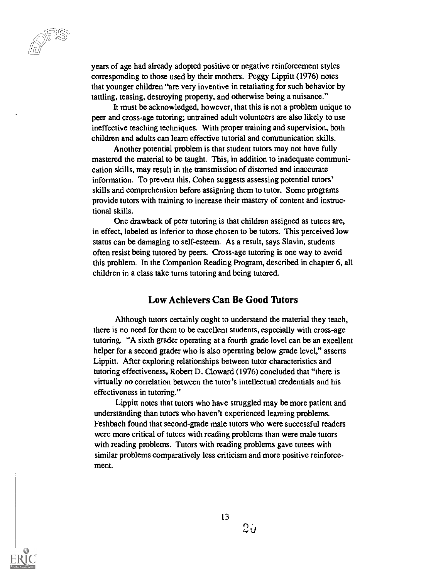years of age had already adopted positive or negative reinforcement styles corresponding to those used by their mothers. Peggy Lippitt (1976) notes that younger children "are very inventive in retaliating for such behavior by tattling, teasing, destroying property, and otherwise being a nuisance."

It must be acknowledged, however, that this is not a problem unique to peer and cross-age tutoring; untrained adult volunteers are also likely to use ineffective teaching techniques. With proper training and supervision, both children and adults can learn effective tutorial and communication skills.

Another potential problem is that student tutors may not have fully mastered the material to be taught. This, in addition to inadequate communication skills, may result in the transmission of distorted and inaccurate information. To prevent this, Cohen suggests assessing potential tutors' skills and comprehension before assigning them to tutor. Some programs provide tutors with training to increase their mastery of content and instructional skills.

One drawback of peer tutoring is that children assigned as tutees are, in effect, labeled as inferior to those chosen to be tutors. This perceived low status can be damaging to self-esteem. As a result, says Slavin, students often resist being tutored by peers. Cross-age tutoring is one way to avoid this problem. In the Companion Reading Program, described in chapter 6, all children in a class take turns tutoring and being tutored.

#### Low Achievers Can Be Good Tutors

Although tutors certainly ought to understand the material they teach, there is no need for them to be excellent students, especially with cross-age tutoring. "A sixth grader operating at a fourth grade level can be an excellent helper for a second grader who is also operating below grade level," asserts Lippitt. After exploring relationships between tutor characteristics and tutoring effectiveness, Robert D. Cloward (1976) concluded that "there is virtually no correlation between the tutor's intellectual credentials and his effectiveness in tutoring."

Lippitt notes that tutors who have struggled may be more patient and understanding than tutors who haven't experienced learning problems. Feshbach found that second-grade male tutors who were successful readers were more critical of tutees with reading problems than were male tutors with reading problems. Tutors with reading problems gave tutees with similar problems comparatively less criticism and more positive reinforcement.



 $20$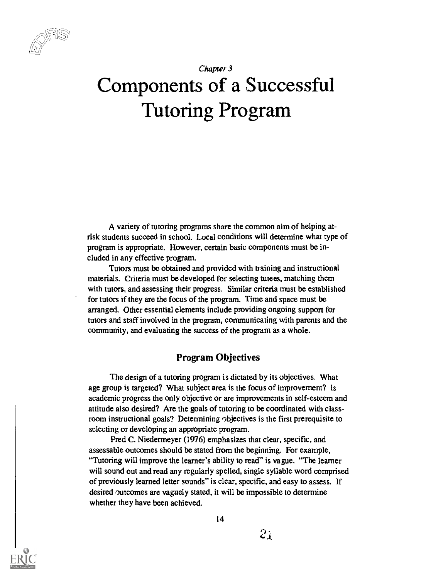### Chapter 3 Components of a Successful Tutoring Program

A variety of tutoring programs share the common aim of helping atrisk students succeed in school. Local conditions will determine what type of program is appropriate. However, certain basic components must be included in any effective program.

Tutors must be obtained and provided with training and instructional materials. Criteria must be developed for selecting tutees, matching them with tutors, and assessing their progress. Similar criteria must be established for tutors if they are the focus of the program. Time and space must be arranged. Other essential elements include providing ongoing support for tutors and staff involved in the program, communicating with parents and the community, and evaluating the success of the program as a whole.

#### Program Objectives

The design of a tutoring program is dictated by its objectives. What age group is targeted? What subject area is the focus of improvement? Is academic progress the only objective or are improvements in self-esteem and attitude also desired? Are the goals of tutoring to be coordinated with classroom instructional goals? Determining objectives is the first prerequisite to selecting or developing an appropriate program.

Fred C. Niedermeyer (1976) emphasizes that clear, specific, and assessable outcomes should be stated from the beginning. For example, "Tutoring will improve the learner's ability to read" is vague. "The learner will sound out and read any regularly spelled, single syllable word comprised of previously learned letter sounds" is clear, specific, and easy to assess. If desired outcomes are vaguely stated, it will be impossible to determine whether they have been achieved.

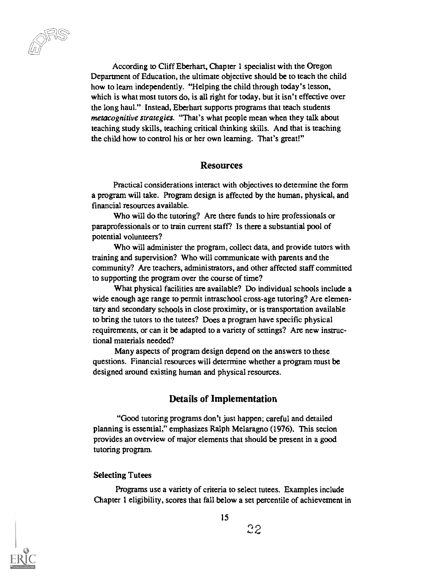cc )

According to Cliff Eberhart, Chapter 1 specialist with the Oregon Department of Education, the ultimate objective should be to teach the child how to learn independently. "Helping the child through today's lesson, which is what most tutors do, is all right for today, but it isn't effective over the long haul." Instead, Eberhart supports programs that teach students metacognitive strategies. "That's what people mean when they talk about teaching study skills, teaching critical thinking skills. And that is teaching the child how to control his or her own learning. That's great!"

#### Resources

Practical considerations interact with objectives to determine the form a program will take. Program design is affected by the human, physical, and financial resources available.

Who will do the tutoring? Are there funds to hire professionals or paraprofessionals or to train current staff? Is there a substantial pool of potential volunteers?

Who will administer the program, collect data, and provide tutors with training and supervision? Who will communicate with parents and the community? Are teachers, administrators, and other affected staff committed to supporting the program over the course of time?

What physical facilities are available? Do individual schools include a wide enough age range to permit intraschool cross-age tutoring? Are elementary and secondary schools in close proximity, or is transportation available to bring the tutors to the tutees? Does a program have specific physical requirements, or can it be adapted to a variety of settings? Are new instructional materials needed?

Many aspects of program design depend on the answers to these questions. Financial resources will determine whether a program must be designed around existing human and physical resources.

#### Details of Implementation

"Good tutoring programs don't just happen; careful and detailed planning is essential," emphasizes Ralph Melaragno (1976). This secion provides an overview of major elements that should be present in a good tutoring program.

#### Selecting Tutees

Programs use a variety of criteria to select tutees. Examples include Chapter 1 eligibility, scores that fall below a set percentile of achievement in

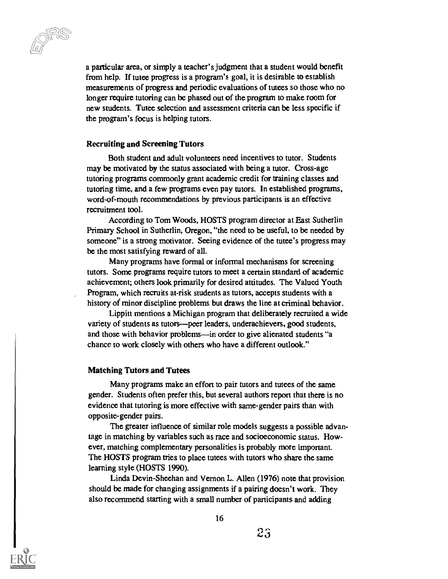a particular area, or simply a teacher's judgment that a student would benefit from help. If tutee progress is a program's goal, it is desirable to establish measurements of progress and periodic evaluations of tutees so those who no longer require tutoring can be phased out of the program to make room for new students. Tutee selection and assessment criteria can be less specific if the program's focus is helping tutors.

#### Recruiting and Screening Tutors

Both student and adult volunteers need incentives to tutor. Students may be motivated by the status associated with being a tutor. Cross-age tutoring programs commonly grant academic credit for training classes and tutoring time, and a few programs even pay tutors. In established programs, word-of-mouth recommendations by previous participants is an effective recruitment tool.

According to Tom Woods, HOSTS program director at East Sutherlin Primary School in Sutherlin, Oregon, "the need to be useful, to be needed by someone" is a strong motivator. Seeing evidence of the tutee's progress may be the most satisfying reward of all.

Many programs have formal or informal mechanisms for screening tutors. Some programs require tutors to meet a certain standard of academic achievement; others look primarily for desired attitudes. The Valued Youth Program, which recruits at-risk students as tutors, accepts students with a history of minor discipline problems but draws the line at criminal behavior.

Lippitt mentions a Michigan program that deliberately recruited a wide variety of students as tutors—peer leaders, underachievers, good students, and those with behavior problems—in order to give alienated students "a chance to work closely with others who have a different outlook."

#### Matching Tutors and Tutees

Many programs make an effort to pair tutors and tutees of the same gender. Students often prefer this, but several authors report that there is no evidence that tutoring is more effective with same-gender pairs than with opposite-gender pairs.

The greater influence of similar role models suggests a possible advantage in matching by variables such as race and socioeconomic status. However, matching complementary personalities is probably more important. The HOSTS program tries to place tutees with tutors who share the same learning style (HOSTS 1990).

Linda Devin-Sheehan and Vernon L. Allen (1976) note that provision should be made for changing assignments if a pairing doesn't work. They also recommend starting with a small number of participants and adding

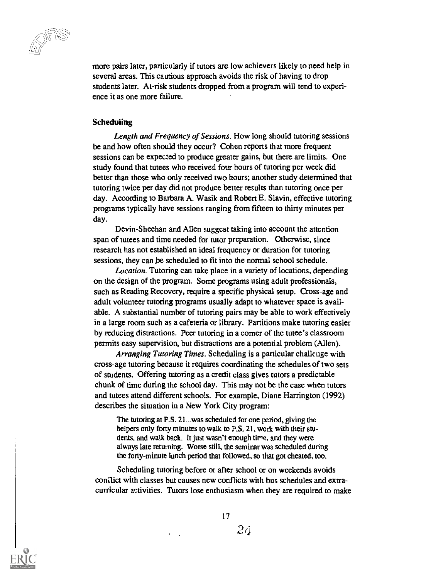more pairs later, particularly if tutors are low achievers likely to need help in several areas. This cautious approach avoids the risk of having to drop students later. At-risk students dropped from a program will tend to experience it as one more failure.

#### Scheduling

Length and Frequency of Sessions. How long should tutoring sessions be and how often should they occur? Cohen reports that more frequent sessions can be expected to produce greater gains, but there are limits. One study found that tutees who received four hours of tutoring per week did better than those who only received two hours; another study determined that tutoring twice per day did not produce better results than tutoring once per day. According to Barbara A. Wasik and Robert E. Slavin, effective tutoring programs typically have sessions ranging from fifteen to thirty minutes per day.

Devin-Sheehan and Allen suggest taking into account the attention span of tutees and time needed for tutor preparation. Otherwise, since research has not established an ideal frequency or duration for tutoring sessions, they can be scheduled to fit into the normal school schedule.

Location. Tutoring can take place in a variety of locations, depending on the design of the program. Some programs using adult professionals, such as Reading Recovery, require a specific physical setup. Cross-age and adult volunteer tutoring programs usually adapt to whatever space is available. A substantial number of tutoring pairs may be able to work effectively in a large room such as a cafeteria or library. Partitions make tutoring easier by reducing distractions. Peer tutoring in a corner of the tutee's classroom permits easy supervision, but distractions are a potential problem (Allen).

Arranging Tutoring Times. Scheduling is a particular challenge with cross-age tutoring because it requires coordinating the schedules of two sets of students. Offering tutoring as a credit class gives tutors a predictable chunk of time during the school day. This may not be the case when tutors and tutees attend different schools. For example, Diane Harrington (1992) describes the situation in a New York City program:

The tutoring at P.S. 21...was scheduled for one period, giving the helpers only forty minutes to walk to P.S. 21. work with their students, and walk back. It just wasn't enough time, and they were always late returning. Worse still, the seminar was scheduled during the forty-minute lunch period that followed, so that got cheated, too.

Scheduling tutoring before or after school or on weekends avoids conflict with classes but causes new conflicts with bus schedules and  $\text{extra}$ curricular activities. Tutors lose enthusiasm when they are required to make



 $24$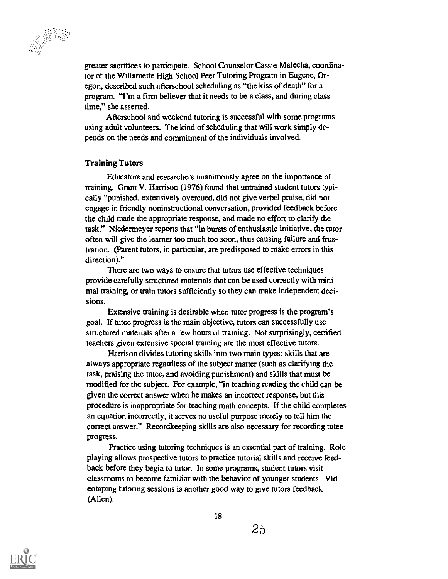greater sacrifices to participate. School Counselor Cassie Malecha, coordinator of the Willamette High School Peer Tutoring Program in Eugene, Oregon, described such afterschool scheduling as "the kiss of death" for a program. "I'm a firm believer that it needs to be a class, and during class time," she asserted.

Afterschool and weekend tutoring is successful with some programs using adult volunteers. The kind of scheduling that will work simply depends on the needs and commitment of the individuals involved.

#### Training Tutors

Educators and researchers unanimously agree on the importance of training. Grant V. Harrison (1976) found that untrained student tutors typically "punished, extensively overcued, did not give verbal praise, did not engage in friendly noninstructional conversation, provided feedback before the child made the appropriate response, and made no effort to clarify the task." Niedermeyer reports that "in bursts of enthusiastic initiative, the tutor often will give the learner too much too soon, thus causing failure and frustration. (Parent tutors, in particular, are predisposed to make errors in this direction)."

There are two ways to ensure that tutors use effective techniques: provide carefully structured materials that can be used correctly with minimal training, or train tutors sufficiently so they can make independent decisions.

Extensive training is desirable when tutor progress is the program's goal. If tutee progress is the main objective, tutors can successfully use structured materials after a few hours of training. Not surprisingly, certified teachers given extensive special training are the most effective tutors.

Harrison divides tutoring skills into two main types: skills that are always appropriate regardless of the subject matter (such as clarifying the task, praising the tutee, and avoiding punishment) and skills that must be modified for the subject. For example, "in teaching reading the child can be given the correct answer when he makes an incorrect response, but this procedure is inappropriate for teaching math concepts. If the child completes an equation incorrectly, it serves no useful purpose merely to tell him the correct answer." Recordkeeping skills are also necessary for recording tutee progress.

Practice using tutoring techniques is an essential part of training. Role playing allows prospective tutors to practice tutorial skills and receive feedback before they begin to tutor. In some programs, student tutors visit classrooms to become familiar with the behavior of younger students. Videotaping tutoring sessions is another good way to give tutors feedback (Allen).



 $25$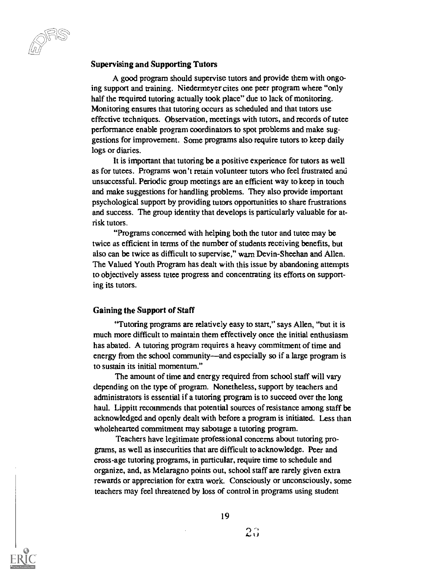#### Supervising and Supporting Tutors

A good program should supervise tutors and provide them with ongoing support and training. Niedermeyer cites one peer program where "only" half the required tutoring actually took place" due to lack of monitoring. Monitoring ensures that tutoring occurs as scheduled and that tutors use effective techniques. Observation, meetings with tutors, and records of tutee performance enable program coordinators to spot problems and make suggestions for improvement. Some programs also require tutors to keep daily logs or diaries.

It is important that tutoring be a positive experience for tutors as well as for tutees. Programs won't retain volunteer tutors who feel frustrated and unsuccessful. Periodic group meetings are an efficient way to keep in touch and make suggestions for handling problems. They also provide important psychological support by providing tutors opportunities to share frustrations and success. The group identity that develops is particularly valuable for atrisk tutors.

"Programs concerned with helping both the tutor and tutee may be twice as efficient in terms of the number of students receiving benefits, but also can be twice as difficult to supervise," warn Devin-Sheehan and Allen. The Valued Youth Program has dealt with this issue by abandoning attempts to objectively assess tutee progress and concentrating its efforts on supporting its tutors.

#### Gaining the Support of Staff

"Tutoring programs are relatively easy to start," says Allen, "but it is much more difficult to maintain them effectively once the initial enthusiasm has abated. A tutoring program requires a heavy commitment of time and energy from the school community—and especially so if a large program is to sustain its initial momentum."

The amount of time and energy required from school staff will vary depending on the type of program. Nonetheless, support by teachers and administrators is essential if a tutoring program is to succeed over the long haul. Lippitt recommends that potential sources of resistance among staff be acknowledged and openly dealt with before a program is initiated. Less than wholehearted commitment may sabotage a tutoring program.

Teachers have legitimate professional concerns about tutoring programs, as well as insecurities that are difficult to acknowledge. Peer and cross-age tutoring programs, in particular, require time to schedule and organize, and, as Melaragno points out, school staff are rarely given extra rewards or appreciation for extra work. Consciously or unconsciously, some teachers may feel threatened by loss of control in programs using student

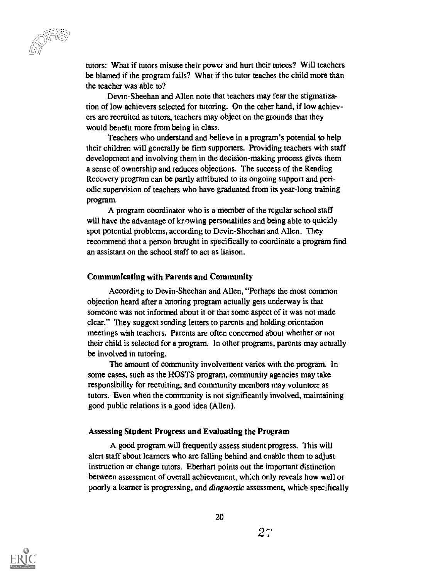tutors: What if tutors misuse their power and hurt their tutees? Will teachers be blamed if the program fails? What if the tutor teaches the child more than the teacher was able to?

Devin-Sheehan and Allen note that teachers may fear the stigmatization of low achievers selected for tutoring. On the other hand, if low achievers are recruited as tutors, teachers may object on the grounds that they would benefit more from being in class.

Teachers who understand and believe in a program's potential to help their children will generally be firm supporters. Providing teachers with staff development and involving them in the decision-making process gives them a sense of ownership and reduces objections. The success of the Reading Recovery program can be partly attributed to its ongoing support and periodic supervision of teachers who have graduated from its year-long training program.

A program coordinator who is a member of the regular school staff will have the advantage of knowing personalities and being able to quickly spot potential problems, according to Devin-Sheehan and Allen. They recommend that a person brought in specifically to coordinate a program find an assistant on the school staff to act as liaison.

#### Communicating with Parents and Community

According to Devin-Sheehan and Allen, "Perhaps the most common objection heard after a tutoring program actually gets underway is that someone was not informed about it or that some aspect of it was not made clear." They suggest sending letters to parents and holding orientation meetings with teachers. Parents are often concerned about whether or not their child is selected for a program. In other programs, parents may actually be involved in tutoring.

The amount of community involvement varies with the program. In some cases, such as the HOSTS program, community agencies may take responsibility for recruiting, and community members may volunteer as tutors. Even when the community is not significantly involved, maintaining good public relations is a good idea (Allen).

#### Assessing Student Progress and Evaluating the Program

A good program will frequently assess student progress. This will alert staff about learners who are falling behind and enable them to adjust instruction or change tutors. Eberhart points out the important distinction between assessment of overall achievement, which only reveals how well or poorly a learner is progressing, and diagnostic assessment, which specifically

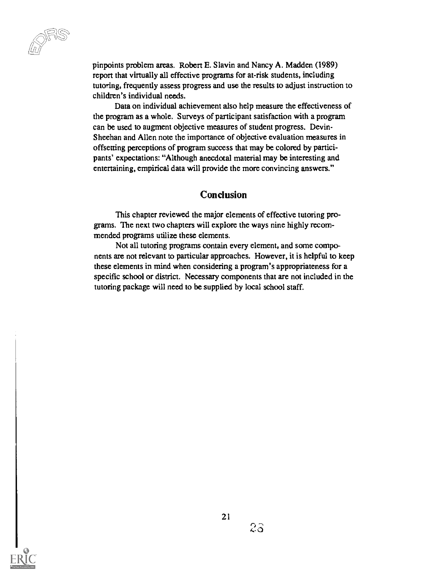pinpoints problem areas. Robert E. Slavin and Nancy A. Madden (1989) report that virtually all effective programs for at-risk students, including tutoring, frequently assess progress and use the results to adjust instruction to children's individual needs.

Data on individual achievement also help measure the effectiveness of the program as a whole. Surveys of participant satisfaction with a program can be used to augment objective measures of student progress. Devin-Sheehan and Allen note the importance of objective evaluation measures in offsetting perceptions of program success that may be colored by participants' expectations: "Although anecdotal material may be interesting and entertaining, empirical data will provide the more convincing answers."

#### **Conclusion**

This chapter reviewed the major elements of effective tutoring programs. The next two chapters will explore the ways nine highly recommended programs utilize these elements.

Not all tutoring programs contain every element, and some components are not relevant to particular approaches. However, it is helpful to keep these elements in mind when considering a program's appropriateness for a specific school or district. Necessary components that are not included in the tutoring package will need to be supplied by local school staff.

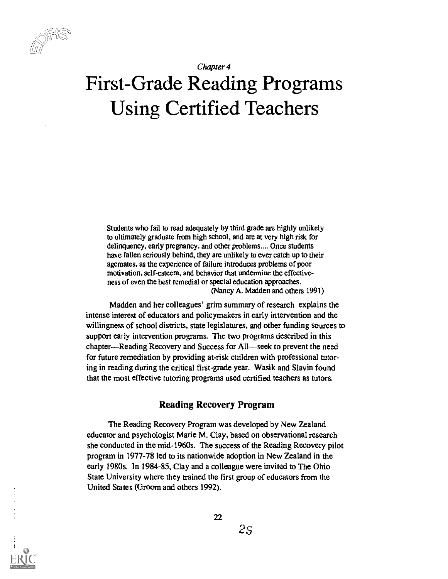

Chapter 4

# First-Grade Reading Programs Using Certified Teachers

Students who fail to read adequately by third grade are highly unlikely to ultimately graduate from high school, and are at very high risk for delinquency, early pregnancy, and other problems.... Once students have fallen seriously behind, they are unlikely to ever catch up to their agemates, as the experience of failure introduces problems of poor motivation, self-esteem, and behavior that undermine the effectiveness of even the best remedial or special education approaches. (Nancy A. Madden and others 1991)

Madden and her colleagues' grim summary of research explains the intense interest of educators and policymakers in early intervention and the willingness of school districts, state legislatures, and other funding sources to support early intervention programs. The two programs described in this chapter—Reading Recovery and Success for All—seek to prevent the need for future remediation by providing at-risk children with professional tutoring in reading during the critical first-grade year. Wasik and Slavin found that the most effective tutoring programs used certified teachers as tutors.

#### Reading Recovery Program

The Reading Recovery Program was developed by New Zealand educator and psychologist Marie M. Clay, based on observational research she conducted in the mid-1960s. The success of the Reading Recovery pilot program in 1977-78 led to its nationwide adoption in New Zealand in the early 1980s. In 1984-85, Clay and a colleague were invited to The Ohio State University where they trained the first group of educators from the United States (Groom and others 1992).

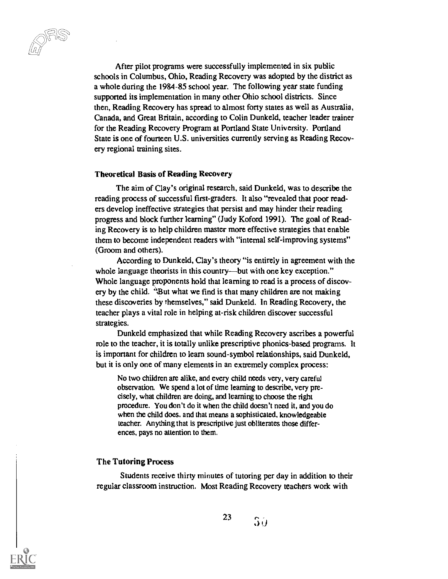After pilot programs were successfully implemented in six public schools in Columbus, Ohio, Reading Recovery was adopted by the district as a whole during the 1984-85 school year. The following year state funding supported its implementation in many other Ohio school districts. Since then, Reading Recovery has spread to almost forty states as well as Australia, Canada, and Great Britain, according to Colin Dunkeld, teacher leader trainer for the Reading Recovery Program at Portland State University. Portland State is one of fourteen U.S. universities currently serving as Reading Recovery regional training sites.

#### Theoretical Basis of Reading Recovery

The aim of Clay's original research, said Dunkeld, was to describe the reading process of successful first-graders. It also "revealed that poor readers develop ineffective strategies that persist and may hinder their reading progress and block further learning" (Judy Koford 1991). The goal of Reading Recovery is to help children master more effective strategies that enable them to become independent readers with "internal self-improving systems" (Groom and others).

According to Dunkeld, Clay's theory "is entirely in agreement with the whole language theorists in this country—but with one key exception." Whole language proponents hold that learning to read is a process of discovery by the child. "But what we find is that many children are not making these discoveries by themselves," said Dunkeld. In Reading Recovery, the teacher plays a vital role in helping at-risk children discover successful strategies.

Dunkeld emphasized that while Reading Recovery ascribes a powerful role to the teacher, it is totally unlike prescriptive phonics-based programs. It is important for children to learn sound-symbol relationships, said Dunkeld, but it is only one of many elements in an extremely complex process:

No two children are alike, and every child needs very, very careful observation. We spend a lot of time learning to describe, very precisely, what children are doing, and learning to choose the right procedure. You don't do it when the child doesn't need it, and you do when the child does, and that means a sophisticated, knowledgeable teacher. Anything that is prescriptive just obliterates those differences, pays no attention to them.

#### The Tutoring Process

Students receive thirty minutes of tutoring per day in addition to their regular classroom instruction. Most Reading Recovery teachers work with

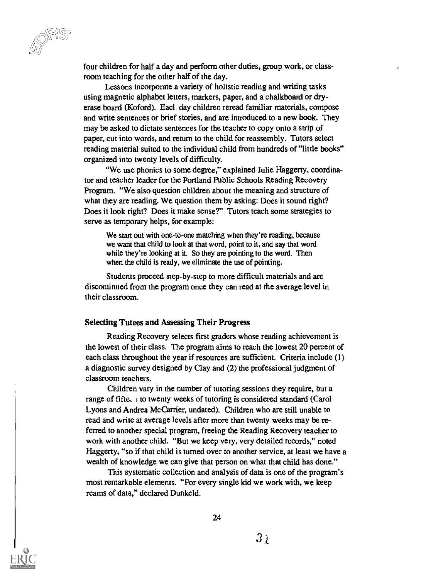four children for half a day and perform other duties, group work, or classroom teaching for the other half of the day.

Lessons incorporate a variety of holistic reading and writing tasks using magnetic alphabet letters, markers, paper, and a chalkboard or dryerase board (Koford). Eacl. day children reread familiar materials, compose and write sentences or brief stories, and are introduced to a new book. They may be asked to dictate sentences for the teacher to copy onto a strip of paper, cut into words, and return to the child for reassembly. Tutors select reading material suited to the individual child from hundreds of "little books" organized into twenty levels of difficulty.

"We use phonics to some degree," explained Julie Haggerty, coordinator and teacher leader for the Portland Public Schools Reading Recovery Program. "We also question children about the meaning and structure of what they are reading. We question them by asking: Does it sound right? Does it look right? Does it make sense?" Tutors teach some strategies to serve as temporary helps, for example:

We start out with one-to-one matching when they're reading, because we want that child to look at that word, point to it, and say that word while they're looking at it. So they are pointing to the word. Then when the child is ready, we eliminate the use of pointing.

Students proceed step-by-step to more difficult materials and are discontinued from the program once they can read at the average level in their classroom.

#### Selecting Tutees and Assessing Their Progress

Reading Recovery selects first graders whose reading achievement is the lowest of their class. The program aims to reach the lowest 20 percent of each class throughout the year if resources are sufficient. Criteria include (1) a diagnostic survey designed by Clay and (2) the professional judgment of classroom teachers.

Children vary in the number of tutoring sessions they require, but a range of fifte,  $\pm$  to twenty weeks of tutoring is considered standard (Carol Lyons and Andrea Mc Carrier, undated). Children who are still unable to read and write at average levels after more than twenty weeks may be referred to another special program, freeing the Reading Recovery teacher to work with another child. "But we keep very, very detailed records," noted Haggerty, "so if that child is turned over to another service, at least we have a wealth of knowledge we can give that person on what that child has done."

This systematic collection and analysis of data is one of the program's most remarkable elements. "For every single kid we work with, we keep reams of data," declared Dunkeld.

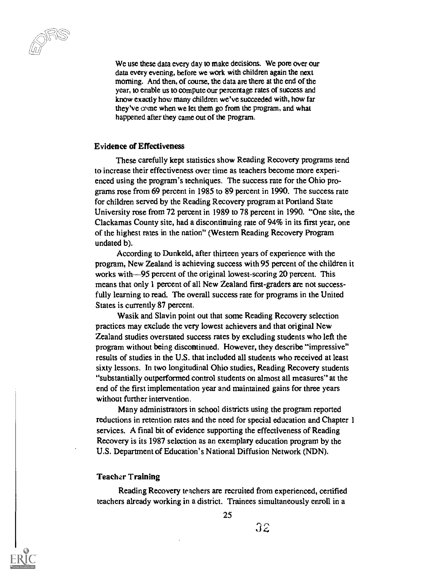We use these data every day to make decisions. We pore over our data every evening, before we work with children again the next morning. And then, of course, the data are there at the end of the year, to enable us to compute our percentage rates of success and know exactly how many children we've succeeded with, how far they've come when we let them go from the program, and what happened after they came out of the program.

#### Evidence of Effectiveness

These carefully kept statistics show Reading Recovery programs tend to increase their effectiveness over time as teachers become more experienced using the program's techniques. The success rate for the Ohio programs rose from 69 percent in 1985 to 89 percent in 1990. The success rate for children served by the Reading Recovery program at Portland State University rose from 72 percent in 1989 to 78 percent in 1990. "One site, the Clackamas County site, had a discontinuing rate of 94% in its first year, one of the highest rates in the nation" (Western Reading Recovery Program undated b).

According to Dunkeld, after thirteen years of experience with the program, New Zealand is achieving success with 95 percent of the children it works with-95 percent of the original lowest-scoring 20 percent. This means that only 1 percent of all New Zealand first-graders are not successfully learning to read. The overall success rate for programs in the United States is currently 87 percent.

Wasik and Slavin point out that some Reading Recovery selection practices may exclude the very lowest achievers and that original New Zealand studies overstated success rates by excluding students who left the program without being discontinued. However, they describe "impressive" results of studies in the U.S. that included all students who received at least sixty lessons. In two longitudinal Ohio studies, Reading Recovery students "substantially outperformed control students on almost all measures" at the end of the first implementation year and maintained gains for three years without further intervention.

Many administrators in school districts using the program reported reductions in retention rates and the need for special education and Chapter 1 services. A final bit of evidence supporting the effectiveness of Reading Recovery is its 1987 selection as an exemplary education program by the U.S. Department of Education's National Diffusion Network (NDN).

#### Teacher Training

Reading Recovery teachers are recruited from experienced, certified teachers already working in a district. Trainees simultaneously enroll in a

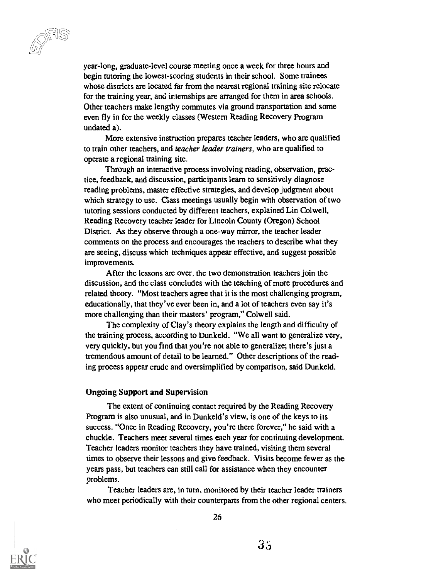year-long, graduate-level course meeting once a week for three hours and begin tutoring the lowest-scoring students in their school. Some trainees whose districts are located far from the nearest regional training site relocate for the training year, and irtemships are arranged for them in area schools. Other teachers make lengthy commutes via ground transportation and some even fly in for the weekly classes (Western Reading Recovery Program undated a).

More extensive instruction prepares teacher leaders, who are qualified to train other teachers, and *teacher leader trainers*, who are qualified to operate a regional training site.

Through an interactive process involving reading, observation, practice, feedback, and discussion, participants learn to sensitively diagnose reading problems, master effective strategies, and develop judgment about which strategy to use. Class meetings usually begin with observation of two tutoring sessions conducted by different teachers, explained Lin Colwell, Reading Recovery teacher leader for Lincoln County (Oregon) School District. As they observe through a one-way mirror, the teacher leader comments on the process and encourages the teachers to describe what they are seeing, discuss which techniques appear effective, and suggest possible improvements.

After the lessons are over, the two demonstration teachers join the discussion, and the class concludes with the teaching of more procedures and related theory. "Most teachers agree that it is the most challenging program, educationally, that they've ever been in, and a lot of teachers even say it's more challenging than their masters' program," Colwell said.

The complexity of Clay's theory explains the length and difficulty of the training process, according to Dunkeld. "We all want to generalize very, very quickly, but you find that you're not able to generalize; there's just a tremendous amount of detail to be learned." Other descriptions of the reading process appear crude and oversimplified by comparison, said Dunkeld.

#### Ongoing Support and Supervision

The extent of continuing contact required by the Reading Recovery Program is also unusual, and in Dunkeld's view, is one of the keys to its success. "Once in Reading Recovery, you're there forever," he said with a chuckle. Teachers meet several times each year for continuing development. Teacher leaders monitor teachers they have trained, visiting them several times to observe their lessons and give feedback. Visits become fewer as the years pass, but teachers can still call for assistance when they encounter problems.

Teacher leaders are, in turn, monitored by their teacher leader trainers who meet periodically with their counterparts from the other regional centers.

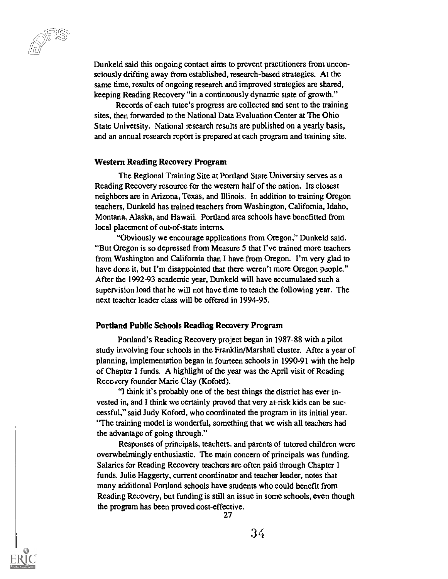cc )

Dunkeld said this ongoing contact aims to prevent practitioners from unconsciously drifting away from established, research-based strategies. At the same time, results of ongoing research and improved strategies are shared, keeping Reading Recovery "in a continuously dynamic state of growth."

Records of each tutee's progress are collected and sent to the training sites, then forwarded to the National Data Evaluation Center at The Ohio State University. National research results are published on a yearly basis, and an annual research report is prepared at each program and training site.

#### Western Reading Recovery Program

The Regional Training Site at Portland State University serves as a Reading Recovery resource for the western half of the nation. Its closest neighbors are in Arizona, Texas, and Illinois. In addition to training Oregon teachers, Dunkeld has trained teachers from Washington, California, Idaho, Montana, Alaska, and Hawaii. Portland area schools have benefitted from local placement of out-of-state interns.

"Obviously we encourage applications from Oregon," Dunkeld said. "But Oregon is so depressed from Measure 5 that I've trained more teachers from Washington and California than I have from Oregon. I'm very glad to have done it, but I'm disappointed that there weren't more Oregon people." After the 1992-93 academic year, Dunkeld will have accumulated such a supervision load that he will not have time to teach the following year. The next teacher leader class will be offered in 1994-95.

#### Portland Public Schools Reading Recovery Program

Portland's Reading Recovery project began in 1987-88 with a pilot study involving four schools in the Franklin/Marshall cluster. After a year of planning, implementation began in fourteen schools in 1990-91 with the help of Chapter 1 funds. A highlight of the year was the April visit of Reading Recovery founder Marie Clay (Koford).

"I think it's probably one of the best things the district has ever invested in, and I think we certainly proved that very at-risk kids can be successful," said Judy Koford, who coordinated the program in its initial year. "The training model is wonderful, something that we wish all teachers had the advantage of going through."

Responses of principals, teachers, and parents of tutored children were overwhelmingly enthusiastic. The main concern of principals was funding. Salaries for Reading Recovery teachers are often paid through Chapter 1 funds. Julie Haggerty, current coordinator and teacher leader, notes that many additional Portland schools have students who could benefit from Reading Recovery, but funding is still an issue in some schools, even though the program has been proved cost-effective.

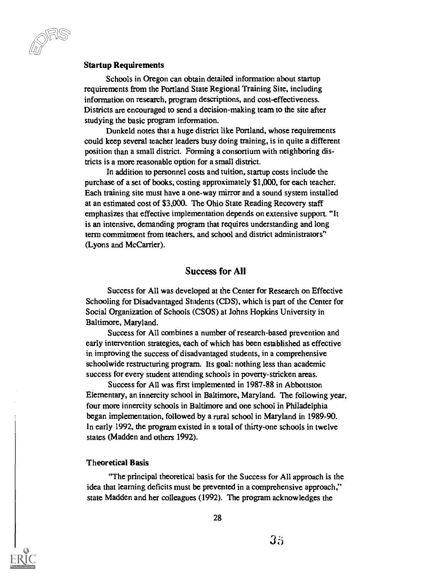#### Startup Requirements

Schools in Oregon can obtain detailed information about startup requirements from the Portland State Regional Training Site, including information on research, program descriptions, and cost-effectiveness. Districts are encouraged to send a decision-making team to the site after studying the basic program information.

Dunkeld notes that a huge district like Portland, whose requirements could keep several teacher leaders busy doing training, is in quite a different position than a small district. Forming a consortium with neighboring districts is a more reasonable option for a small district.

In addition to personnel costs and tuition, startup costs include the purchase of a set of books, costing approximately \$1,000, for each teacher. Each training site must have a one-way mirror and a sound system installed at an estimated cost of \$3,000. The Ohio State Reading Recovery staff emphasizes that effective implementation depends on extensive support. "It is an intensive, demanding program that requires understanding and long term commitment from teachers, and school and district administrators" (Lyons and McCarrier).

#### Success for All

Success for All was developed at the Center for Research on Effective Schooling for Disadvantaged Students (CDS), which is part of the Center for Social Organization of Schools (CSOS) at Johns Hopkins University in Baltimore, Maryland.

Success for All combines a number of research-based prevention and early intervention strategies, each of which has been established as effective in improving the success of disadvantaged students, in a comprehensive schoolwide restructuring program. Its goal: nothing less than academic success for every student attending schools in poverty-stricken areas.

Success for All was first implemented in 1987-88 in Abbottston Elementary, an innercity school in Baltimore, Maryland. The following year, four more innercity schools in Baltimore and one school in Philadelphia began implementation, followed by a rural school in Maryland in 1989-90. In early 1992, the program existed in a total of thirty-one schools in twelve states (Madden and others 1992).

#### Theoretical Basis

"The principal theoretical basis for the Success for All approach is the idea that learning deficits must be prevented in a comprehensive approach," state Madden and her colleagues (1992). The program acknowledges the

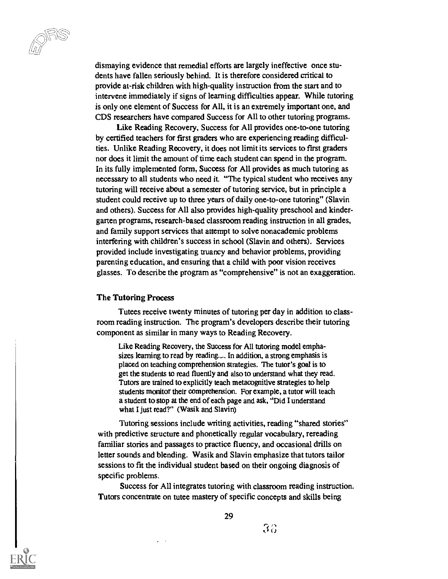dismaying evidence that remedial efforts are largely ineffective once students have fallen seriously behind. It is therefore considered critical to provide at-risk children with high-quality instruction from the start and to intervene immediately if signs of learning difficulties appear. While tutoring is only one element of Success for All, it is an extremely important one, and CDS researchers have compared Success for All to other tutoring programs.

Like Reading Recovery, Success for All provides one-to-one tutoring by certified teachers for first graders who are experiencing reading difficulties. Unlike Reading Recovery, it does not limit its services to first graders nor does it limit the amount of time each student can spend in the program. In its fully implemented form, Success for All provides as much tutoring as necessary to all students who need it. "The typical student who receives any tutoring will receive about a semester of tutoring service, but in principle a student could receive up to three years of daily one-to-one tutoring" (Slavin and others). Success for All also provides high-quality preschool and kindergarten programs, research-based classroom reading instruction in all grades, and family support services that attempt to solve nonacademic problems interfering with children's success in school (Slavin and others). Services provided include investigating truancy and behavior problems, providing parenting education, and ensuring that a child with poor vision receives glasses. To describe the program as "comprehensive" is not an exaggeration.

#### The Tutoring Process

Tutees receive twenty minutes of tutoring per day in addition to classroom reading instruction. The program's developers describe their tutoring component as similar in many ways to Reading Recovery.

Like Reading Recovery, the Success for All tutoring model emphasizes learning to read by reading.... In addition, a strong emphasis is placed on teaching comprehension strategies. The tutor's goal is to get the students to read fluently and also to understand what they read. Tutors are trained to explicitly teach metacognitive strategies to help students monitor their comprehension. For example, a tutor will teach a student to stop at the end of each page and ask, "Did I understand what I just read?" (Wasik and Slavin)

Tutoring sessions include writing activities, reading "shared stories" with predictive structure and phonetically regular vocabulary, rereading familiar stories and passages to practice fluency, and occasional drills on letter sounds and blending. Wasik and Slavin emphasize that tutors tailor sessions to fit the individual student based on their ongoing diagnosis of specific problems.

Success for All integrates tutoring with classroom reading instruction. Tutors concentrate on tutee mastery of specific concepts and skills being

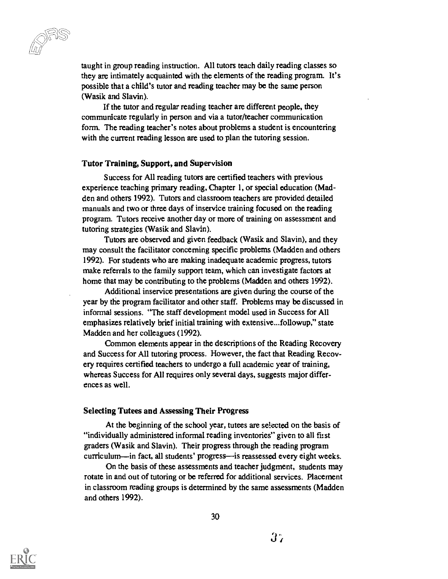taught in group reading instruction. All tutors teach daily reading classes so they are intimately acquainted with the elements of the reading program. It's possible that a child's tutor and reading teacher may be the same person (Wasik and Slavin).

If the tutor and regular reading teacher are different people, they communicate regularly in person and via a tutor/teacher communication form. The reading teacher's notes about problems a student is encountering with the current reading lesson are used to plan the tutoring session.

#### Tutor Training, Support, and Supervision

Success for All reading tutors are certified teachers with previous experience teaching primary reading, Chapter 1, or special education (Madden and others 1992). Tutors and classroom teachers are provided detailed manuals and two or three days of inservice training focused on the reading program. Tutors receive another day or more of training on assessment and tutoring strategies (Wasik and Slavin).

Tutors are observed and given feedback (Wasik and Slavin), and they may consult the facilitator concerning specific problems (Madden and others 1992). For students who are making inadequate academic progress, tutors make referrals to the family support team, which can investigate factors at home that may be contributing to the problems (Madden and others 1992).

Additional inservice presentations are given during the course of the year by the program facilitator and other staff. Problems may be discussed in informal sessions. "The staff development model used in Success for All emphasizes relatively brief initial training with extensive...followup," state Madden and her colleagues (1992).

Common elements appear in the descriptions of the Reading Recovery and Success for All tutoring process. However, the fact that Reading Recovery requires certified teachers to undergo a full academic year of training, whereas Success for All requires only several days, suggests major differences as well.

#### Selecting Tutees and Assessing Their Progress

At the beginning of the school year, tutees are selected on the basis of "individually administered informal reading inventories" given to all first graders (Wasik and Slavin). Their progress through the reading program curriculum—in fact, all students' progress—is reassessed every eight weeks.

On the basis of these assessments and teacher judgment, students may rotate in and out of tutoring or be referred for additional services. Placement in classroom reading groups is determined by the same assessments (Madden and others 1992).

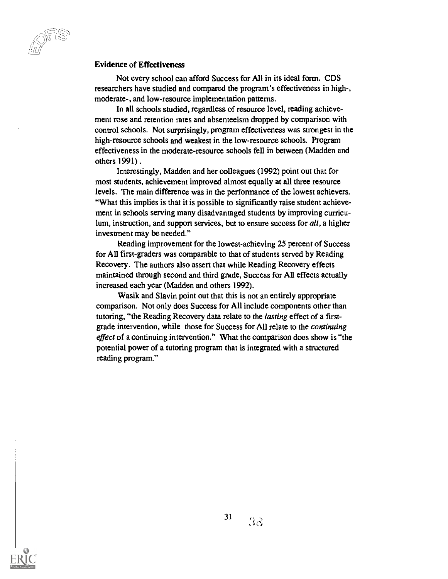#### Evidence of Effectiveness

Not every school can afford Success for All in its ideal form. CDS researchers have studied and compared the program's effectiveness in high-, moderate-, and low-resource implementation patterns.

In all schools studied, regardless of resource level, reading achievement rose and retention rates and absenteeism dropped by comparison with control schools. Not surprisingly, program effectiveness was strongest in the high-resource schools and weakest in the low-resource schools. Program effectiveness in the moderate-resource schools fell in between (Madden and others 1991) .

Interestingly, Madden and her colleagues (1992) point out that for most students, achievement improved almost equally at all three resource levels. The main difference was in the performance of the lowest achievers. "What this implies is that it is possible to significantly raise student achievement in schools serving many disadvantaged students by improving curriculum, instruction, and support services, but to ensure success for all, a higher investment may be needed."

Reading improvement for the lowest-achieving 25 percent of Success for All first-graders was comparable to that of students served by Reading Recovery. The authors also assert that while Reading Recovery effects maintained through second and third grade, Success for All effects actually increased each year (Madden and others 1992).

Wasik and Slavin point out that this is not an entirely appropriate comparison. Not only does Success for All include components other than tutoring, "the Reading Recovery data relate to the lasting effect of a firstgrade intervention, while those for Success for All relate to the continuing effect of a continuing intervention." What the comparison does show is "the potential power of a tutoring program that is integrated with a structured reading program."

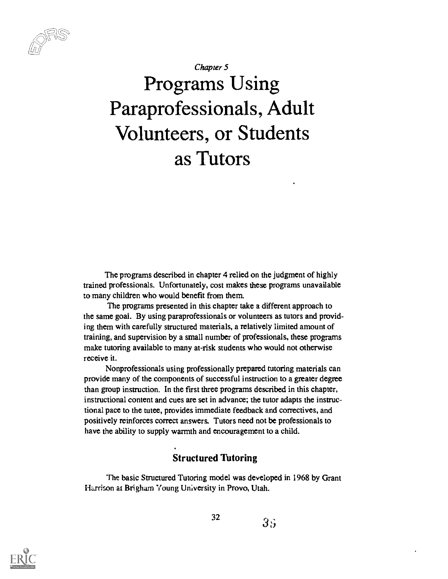Chapter 5

# Programs Using Paraprofessionals, Adult Volunteers, or Students as Tutors

The programs described in chapter 4 relied on the judgment of highly trained professionals. Unfortunately, cost makes these programs unavailable to many children who would benefit from them.

The programs presented in this chapter take a different approach to the same goal. By using paraprofessionals or volunteers as tutors and providing them with carefully structured materials, a relatively limited amount of training, and supervision by a small number of professionals, these programs make tutoring available to many at-risk students who would not otherwise receive it.

Nonprofessionals using professionally prepared tutoring materials can provide many of the components of successful instruction to a greater degree than group instruction. In the first three programs described in this chapter, instructional content and cues are set in advance; the tutor adapts the instructional pace to the tutee, provides immediate feedback and correctives, and positively reinforces correct answers. Tutors need not be professionals to have the ability to supply warmth and encouragement to a child.

## Structured Tutoring

The basic Structured Tutoring model was developed in 1968 by Grant Harrison at Brigham Young University in Provo, Utah.



32

 $3s$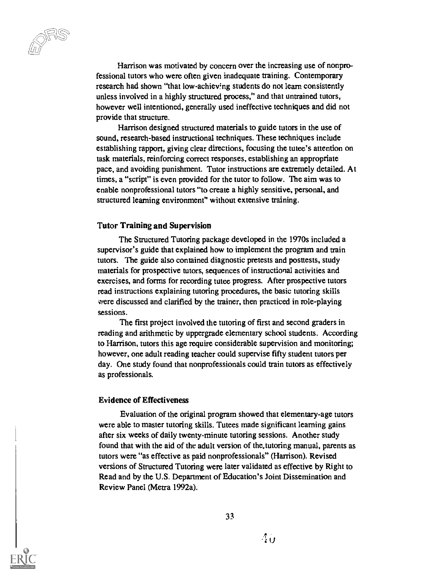Harrison was motivated by concern over the increasing use of nonprofessional tutors who were often given inadequate training. Contemporary research had shown "that low-achiev'ng students do not learn consistently unless involved in a highly structured process," and that untrained tutors, however well intentioned, generally used ineffective techniques and did not provide that structure.

Harrison designed structured materials to guide tutors in the use of sound, research-based instructional techniques. These techniques include establishing rapport, giving clear directions, focusing the tutee's attention on task materials, reinforcing correct responses, establishing an appropriate pace, and avoiding punishment. Tutor instructions are extremely detailed. At times, a "script" is even provided for the tutor to follow. The aim was to enable nonprofessional tutors "to create a highly sensitive, personal, and structured learning environment" without extensive training.

#### Tutor Training and Supervision

The Structured Tutoring package developed in the 1970s included a supervisor's guide that explained how to implement the program and train tutors. The guide also contained diagnostic pretests and posttests, study materials for prospective tutors, sequences of instructional activities and exercises, and forms for recording tutee progress. After prospective tutors read instructions explaining tutoring procedures, the basic tutoring skills were discussed and clarified by the trainer, then practiced in role-playing sessions.

The first project involved the tutoring of first and second graders in reading and arithmetic by uppergrade elementary school students. According to Harrison, tutors this age require considerable supervision and monitoring; however, one adult reading teacher could supervise fifty student tutors per day. One study found that nonprofessionals could train tutors as effectively as professionals.

#### Evidence of Effectiveness

Evaluation of the original program showed that elementary-age tutors were able to master tutoring skills. Tutees made significant learning gains after six weeks of daily twenty-minute tutoring sessions. Another study found that with the aid of the adult version of the.tutoring manual, parents as tutors were "as effective as paid nonprofessionals" (Harrison). Revised versions of Structured Tutoring were later validated as effective by Right to Read and by the U.S. Department of Education's Joint Dissemination and Review Panel (Metra 1992a).

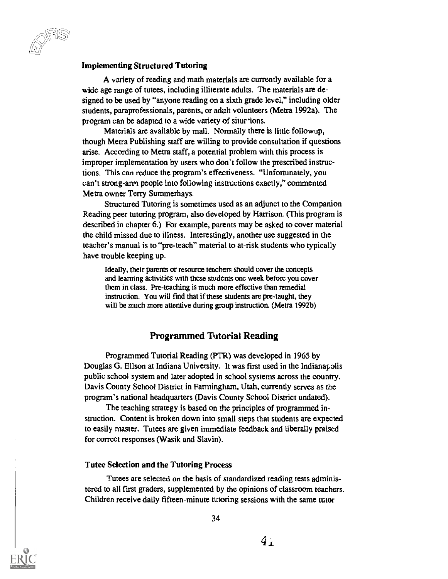#### Implementing Structured Tutoring

A variety of reading and math materials are currently available for a wide age range of tutees, including illiterate adults. The materials are designed to be used by "anyone reading on a sixth grade level," including older students, paraprofessionals, parents, or adult volunteers (Metra 1992a). The program can be adapted to a wide variety of situr-tions.

Materials are available by mail. Normally there is little followup, though Metra Publishing staff are willing to provide consultation if questions arise. According to Metra staff, a potential problem with this process is improper implementation by users who don't follow the prescribed instructions. This can reduce the program's effectiveness. "Unfortunately, you can't strong-arm people into following instructions exactly," commented Metra owner Terry Summerhays.

Structured Tutoring is sometimes used as an adjunct to the Companion Reading peer tutoring program, also developed by Harrison. (This program is described in chapter 6.) For example, parents may be asked to cover material the child missed due to illness. Interestingly, another use suggested in the teacher's manual is to "pre-teach" material to at-risk students who typically have trouble keeping up.

Ideally, their parents or resource teachers should cover the concepts and learning activities with these students one week before you cover them in class. Pre-teaching is much more effective than remedial instruction. You will find that if these students are pre-taught, they will be much more attentive during group instruction. (Metra 1992b)

#### Programmed Tutorial Reading

Programmed Tutorial Reading (PTR) was developed in 1965 by Douglas G. Ellson at Indiana University. It was first used in the Indianapolis public school system and later adopted in school systems across the country. Davis County School District in Farmingham, Utah, currently serves as the program's national headquarters (Davis County School District undated).

The teaching strategy is based on the principles of programmed instruction. Content is broken down into small steps that students are expected to easily master. Tutees are given immediate feedback and liberally praised for correct responses (Wasik and Slavin).

#### Tutee Selection and the Tutoring Process

Tutees are selected on the basis of standardized reading tests administered to all first graders, supplemented by the opinions of classroom teachers. Children receive daily fifteen-minute tutoring sessions with the same tutor

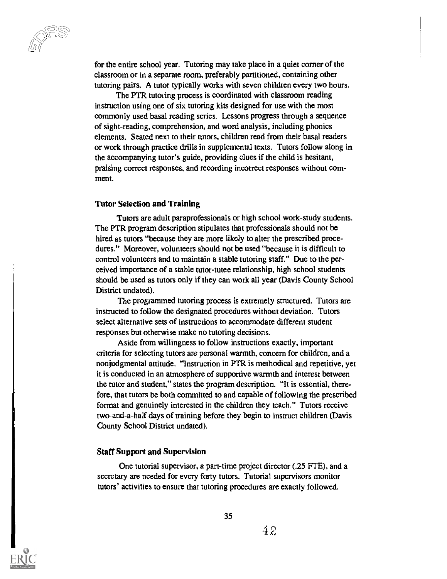for the entire school year. Tutoring may take place in a quiet corner of the classroom or in a separate mom, preferably partitioned, containing other tutoring pairs. A tutor typically works with seven children every two hours.

The PTR tutoring process is coordinated with classroom reading instruction using one of six tutoring kits designed for use with the most commonly used basal reading series. Lessons progress through a sequence of sight-reading, comprehension, and word analysis, including phonics elements. Seated next to their tutors, children read from their basal readers or work through practice drills in supplemental texts. Tutors follow along in the accompanying tutor's guide, providing clues if the child is hesitant, praising correct responses, and recording incorrect responses without comment.

#### Tutor Selection and Training

Tutors are adult paraprofessionals or high school work-study students. The PTR program description stipulates that professionals should not be hired as tutors "because they are more likely to alter the prescribed procedures." Moreover, volunteers should not be used "because it is difficult to control volunteers and to maintain a stable tutoring staff." Due to the perceived importance of a stable tutor-tutee relationship, high school students should be used as tutors only if they can work all year (Davis County School District undated).

The programmed tutoring process is extremely structured. Tutors are instructed to follow the designated procedures without deviation. Tutors select alternative sets of instructions to accommodate different student responses but otherwise make no tutoring decisions.

Aside from willingness to follow instructions exactly, important criteria for selecting tutors are personal warmth, concern for children, and a nonjudgmental attitude. "Instruction in PTR is methodical and repetitive, yet it is conducted in an atmosphere of supportive warmth and interest between the tutor and student," states the program description. "It is essential, therefore, that tutors be both committed to and capable of following the prescribed format and genuinely interested in the children they teach." Tutors receive two-and-a-half days of training before they begin to instruct children (Davis County School District undated).

#### Staff Support and Supervision

One tutorial supervisor, a part-time project director (.25 FTE), and a secretary are needed for every forty tutors. Tutorial supervisors monitor tutors' activities to ensure that tutoring procedures are exactly followed.

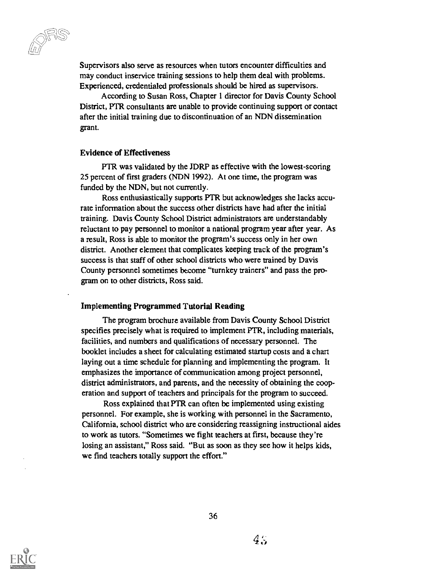Supervisors also serve as resources when tutors encounter difficulties and may conduct inservice training sessions to help them deal with problems. Experienced, credentialed professionals should be hired as supervisors.

According to Susan Ross, Chapter 1 director for Davis County School District, PTR consultants are unable to provide continuing support or contact after the initial training due to discontinuation of an NDN dissemination grant.

#### Evidence of Effectiveness

PTR was validated by the JDRP as effective with the lowest-scoring 25 percent of first graders (NDN 1992). At one time, the program was funded by the NDN, but not currently.

Ross enthusiastically supports PTR but acknowledges she lacks accurate information about the success other districts have had after the initial training. Davis County School District administrators are understandably reluctant to pay personnel to monitor a national program year after year. As a result, Ross is able to monitor the program's success only in her own district. Another element that complicates keeping track of the program's success is that staff of other school districts who were trained by Davis County personnel sometimes become "turnkey trainers" and pass the program on to other districts, Ross said.

#### Implementing Programmed Tutorial Reading

The program brochure available from Davis County School District specifies precisely what is required to implement PTR, including materials, facilities, and numbers and qualifications of necessary personnel. The booklet includes a sheet for calculating estimated startup costs and a chart laying out a time schedule for planning and implementing the program. It emphasizes the importance of communication among project personnel, district administrators, and parents, and the necessity of obtaining the cooperation and support of teachers and principals for the program to succeed.

Ross explained that PTR can often be implemented using existing personnel. For example, she is working with personnel in the Sacramento, California, school district who are considering reassigning instructional aides to work as tutors. "Sometimes we fight teachers at first, because they're losing an assistant," Ross said. "But as soon as they see how it helps kids, we find teachers totally support the effort."

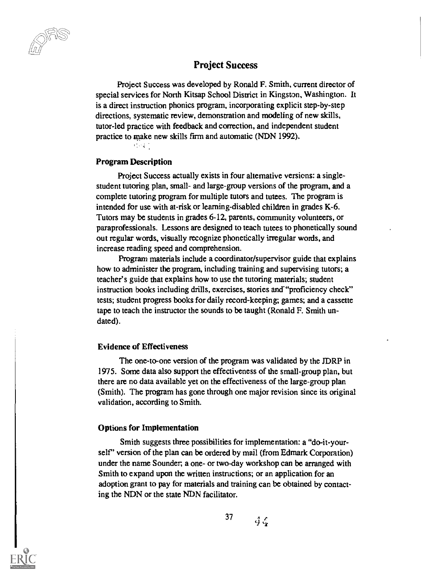Project Success

Project Success was developed by Ronald F. Smith, current director of special services for North Kitsap School District in Kingston, Washington. It is a direct instruction phonics program, incorporating explicit step-by-step directions, systematic review, demonstration and modeling of new skills, tutor-led practice with feedback and correction, and independent student practice to make new skills firm and automatic (NDN 1992).

#### Program Description

11:54

Project Success actually exists in four alternative versions: a singlestudent tutoring plan, small- and large-group versions of the program, and a complete tutoring program for multiple tutors and tutees. The program is intended for use with at-risk or learning-disabled children in grades K-6. Tutors may be students in grades 6-12, parents, community volunteers, or paraprofessionals. Lessons are designed to teach tutees to phonetically sound out regular words, visually recognize phonetically irregular words, and increase reading speed and comprehension.

Program materials include a coordinator/supervisor guide that explains how to administer the program, including training and supervising tutors; a teacher's guide that explains how to use the tutoring materials; student instruction books including drills, exercises, stories and "proficiency check" tests; student progress books for daily record-keeping; games; and a cassette tape to teach the instructor the sounds to be taught (Ronald F. Smith undated).

#### Evidence of Effectiveness

The one-to-one version of the program was validated by the JDRP in 1975. Some data also support the effectiveness of the small-group plan, but there are no data available yet on the effectiveness of the large-group plan (Smith). The program has gone through one major revision since its original validation, according to Smith.

#### Options for Implementation

Smith suggests three possibilities for implementation: a "do-it-yourself" version of the plan can be ordered by mail (from Edmark Corporation) under the name Sounder, a one- or two-day workshop can be arranged with Smith to expand upon the written instructions; or an application for an adoption grant to pay for materials and training can be obtained by contacting the NDN or the state NDN facilitator.



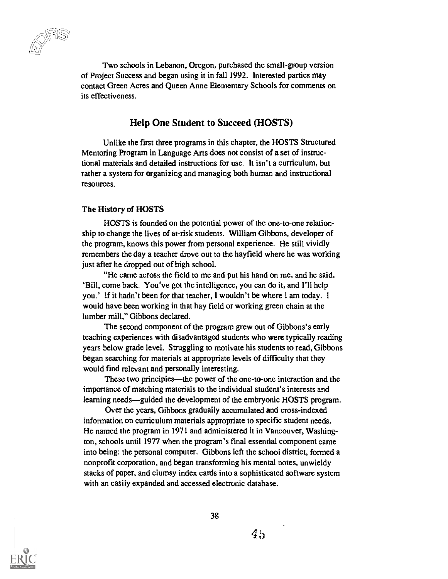Two schools in Lebanon, Oregon, purchased the small-group version of Project Success and began using it in fall 1992. Interested parties may contact Green Acres and Queen Anne Elementary Schools for comments on its effectiveness.

#### Help One Student to Succeed (HOSTS)

Unlike the first three programs in this chapter, the HOSTS Structured Mentoring Program in Language Arts does not consist of a set of instructional materials and detailed instructions for use. It isn't a curriculum, but rather a system for organizing and managing both human and instructional resources.

#### The History of HOSTS

HOSTS is founded on the potential power of the one-to-one relationship to change the lives of at-risk students. William Gibbons, developer of the program, knows this power from personal experience. He still vividly remembers the day a teacher drove out to the hayfield where he was working just after he dropped out of high school.

"He came across the field to me and put his hand on me, and he said, 'Bill, come back. You've got the intelligence, you can do it, and I'll help you.' If it hadn't been for that teacher, I wouldn't be where 1 am today. I would have been working in that hay field or working green chain at the lumber mill," Gibbons declared.

The second component of the program grew out of Gibbons's early teaching experiences with disadvantaged students who were typically reading years below grade level. Struggling to motivate his students to read, Gibbons began searching for materials at appropriate levels of difficulty that they would find relevant and personally interesting.

These two principles—the power of the one-to-one interaction and the importance of matching materials to the individual student's interests and learning needs—guided the development of the embryonic HOSTS program.

Over the years, Gibbons gradually accumulated and cross-indexed information on curriculum materials appropriate to specific student needs. He named the program in 1971 and administered it in Vancouver, Washington, schools until 1977 when the program's final essential component came into being: the personal computer. Gibbons left the school district, formed a nonprofit corporation, and began transforming his mental notes, unwieldy stacks of paper, and clumsy index cards into a sophisticated software system with an easily expanded and accessed electronic database.

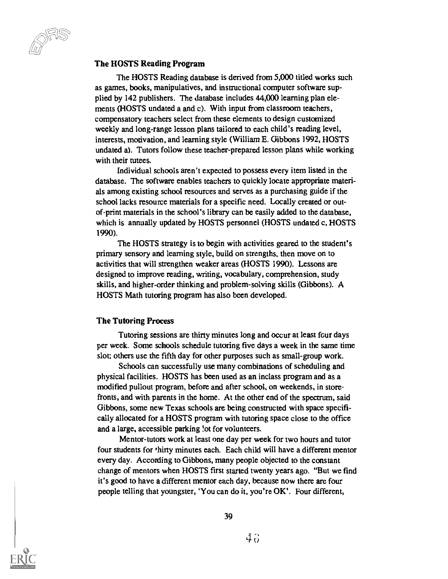#### The HOSTS Reading Program

The HOSTS Reading database is derived from 5,000 titled works such as games, books, manipulatives, and instructional computer software supplied by 142 publishers. The database includes 44,000 learning plan elements (HOSTS undated a and c). With input from classroom teachers, compensatory teachers select from these elements to design customized weekly and long-range lesson plans tailored to each child's reading level, interests, motivation, and learning style (William E. Gibbons 1992, HOSTS undated a). Tutors follow these teacher-prepared lesson plans while working with their tutees.

Individual schools aren't expected to possess every item listed in the database. The software enables teachers to quickly locate appropriate materials among existing school resources and serves as a purchasing guide if the school lacks resource materials for a specific need. Locally created or outof-print materials in the school's library can be easily added to the database, which is annually updated by HOSTS personnel (HOSTS undated c, HOSTS 1990).

The HOSTS strategy is to begin with activities geared to the student's primary sensory and learning style, build on strengths, then move on to activities that will strengthen weaker areas (HOSTS 1990). Lessons are designed to improve reading, writing, vocabulary, comprehension, study skills, and higher-order thinking and problem-solving skills (Gibbons). A HOSTS Math tutoring program has also been developed.

#### The Tutoring Process

Tutoring sessions are thirty minutes long and occur at least four days per week. Some schools schedule tutoring five days a week in the same time slot; others use the fifth day for other purposes such as small-group work.

Schools can successfully use many combinations of scheduling and physical facilities. HOSTS has been used as an inclass program and as a modified pullout program, before and after school, on weekends, in storefronts, and with parents in the home. At the other end of the spectrum, said Gibbons, some new Texas schools are being constructed with space specifically allocated for a HOSTS program with tutoring space close to the office and a large, accessible parking lot for volunteers.

Mentor-tutors work at least one day per week for two hours and tutor four students for thirty minutes each. Each child will have a different mentor every day. According to Gibbons, many people objected to the constant change of mentors when HOSTS first started twenty years ago. "But we find it's good to have a different mentor each day, because now there are four people telling that youngster, 'You can do it, you're OK'. Four different,

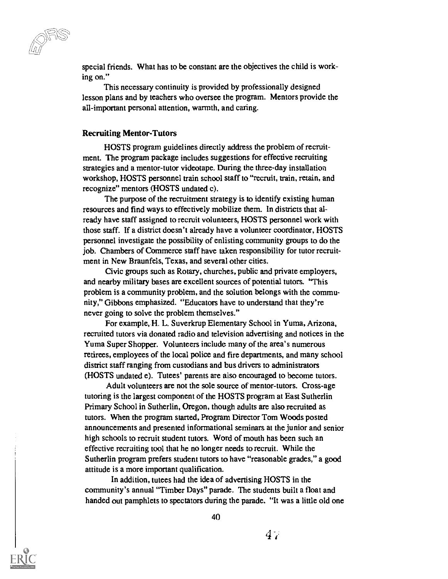special friends. What has to be constant are the objectives the child is working on."

This necessary continuity is provided by professionally designed lesson plans and by teachers who oversee the program. Mentors provide the all-important personal attention, warmth, and caring.

#### Recruiting Mentor-Tutors

HOSTS program guidelines directly address the problem of recruitment. The program package includes suggestions for effective recruiting strategies and a mentor-tutor videotape. During the three-day installation workshop, HOSTS personnel train school staff to "recruit, train, retain, and recognize" mentors (HOSTS undated c).

The purpose of the recruitment strategy is to identify existing human resources and find ways to effectively mobilize them. In districts that already have staff assigned to recruit volunteers, HOSTS personnel work with those staff. If a district doesn't already have a volunteer coordinator, HOSTS personnel investigate the possibility of enlisting community groups to do the job. Chambers of Commerce staff have taken responsibility for tutor recruitment in New Braunfels, Texas, and several other cities.

Civic groups such as Rotary, churches, public and private employers, and nearby military bases are excellent sources of potential tutors. "This problem is a community problem, and the solution belongs with the community," Gibbons emphasized. "Educators have to understand that they're never going to solve the problem themselves."

For example, H. L. Suverkrup Elementary School in Yuma, Arizona, recruited tutors via donated radio and television advertising and notices in the Yuma Super Shopper. Volunteers include many of the area's numerous retirees, employees of the local police and fire departments, and many school district staff ranging from custodians and bus drivers to administrators (HOSTS undated e). Tutees' parents are also encouraged to become tutors.

Adult volunteers are not the sole source of mentor-tutors. Cross-age tutoring is the largest component of the HOSTS program at East Sutherlin Primary School in Sutherlin, Oregon, though adults are also recruited as tutors. When the program started, Program Director Tom Woods posted announcements and presented informational seminars at the junior and senior high schools to recruit student tutors. Word of mouth has been such an effective recruiting tool that he no longer needs to recruit. While the Sutherlin program prefers student tutors to have "reasonable grades," a good attitude is a more important qualification.

In addition, tutees had the idea of advertising HOSTS in the community's annual "Timber Days" parade. The students built a float and handed out pamphlets to spectators during the parade. "It was a little old one

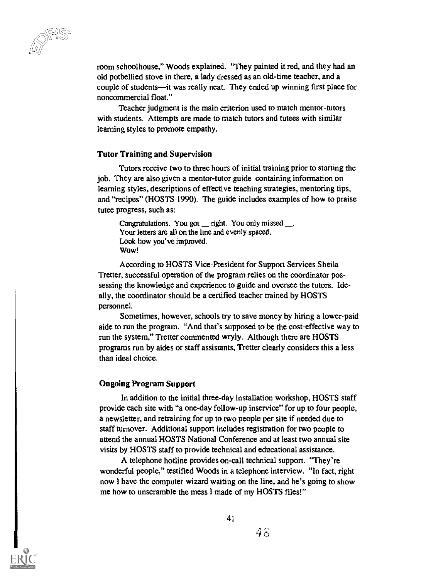room schoolhouse," Woods explained. "They painted it red, and they had an old potbellied stove in there, a lady dressed as an old-time teacher, and a couple of students—it was really neat. They ended up winning first place for noncommercial float."

Teacher judgment is the main criterion used to match mentor-tutors with students. Attempts are made to match tutors and tutees with similar learning styles to promote empathy.

#### Tutor Training and Supervision

Tutors receive two to three hours of initial training prior to starting the job. They are also given a mentor-tutor guide containing information on learning styles, descriptions of effective teaching strategies, mentoring tips, and "recipes" (HOSTS 1990). The guide includes examples of how to praise tutee progress, such as:

Congratulations. You got night. You only missed  $\ldots$ . Your letters are all on the line and evenly spaced. Look how you've improved. Wow!

According to HOSTS Vice-President for Support Services Sheila Tretter, successful operation of the program relies on the coordinator possessing the knowledge and experience to guide and oversee the tutors. Ideally, the coordinator should be a certified teacher trained by HOSTS personnel.

Sometimes, however, schools try to save money by hiring a lower-paid aide to run the program. "And that's supposed to be the cost-effective way to run the system," Tretter commented wryly. Although there are HOSTS programs run by aides or staff assistants, Tretter clearly considers this a less than ideal choice.

#### Ongoing Program Support

In addition to the initial three-day installation workshop, HOSTS staff provide each site with "a one-day follow-up inservice" for up to four people, a newsletter, and retraining for up to two people per site if needed due to staff turnover. Additional support includes registration for two people to attend the annual HOSTS National Conference and at least two annual site visits by HOSTS staff to provide technical and educational assistance.

A telephone hotline provides on-call technical support. "They're wonderful people," testified Woods in a telephone interview. "In fact, right now I have the computer wizard waiting on the line, and he's going to show me how to unscramble the mess I made of my HOSTS files!"



 $4\, \alpha$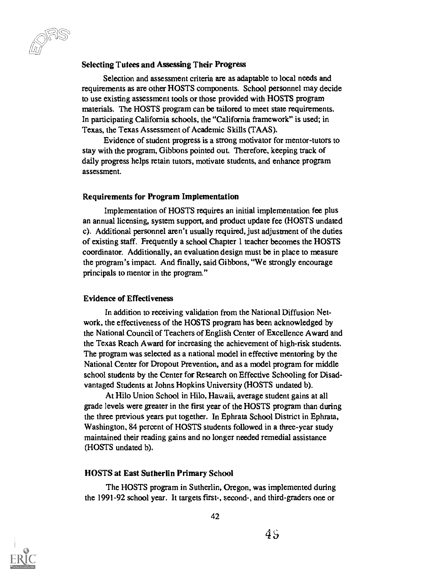#### Selecting Tutees and Assessing Their Progress

Selection and assessment criteria are as adaptable to local needs and requirements as are other HOSTS components. School personnel may decide to use existing assessment tools or those provided with HOSTS program materials. The HOSTS program can be tailored to meet state requirements. In participating California schools, the "California framework" is used; in Texas, the Texas Assessment of Academic Skills (TAAS).

Evidence of student progress is a strong motivator for mentor-tutors to stay with the program, Gibbons pointed out. Therefore, keeping track of daily progress helps retain tutors, motivate students, and enhance program assessment.

#### Requirements for Program Implementation

Implementation of HOSTS requires an initial implementation fee plus an annual licensing, system support, and product update fee (HOSTS undated c). Additional personnel aren't usually required, just adjustment of the duties of existing staff. Frequently a school Chapter 1 teacher becomes the HOSTS coordinator. Additionally, an evaluation design must be in place to measure the program's impact. And finally, said Gibbons, "We strongly encourage principals to mentor in the program."

#### Evidence of Effectiveness

In addition to receiving validation from the National Diffusion Network, the effectiveness of the HOSTS program has been acknowledged by the National Council of Teachers of English Center of Excellence Award and the Texas Reach Award for increasing the achievement of high-risk students. The program was selected as a national model in effective mentoring by the National Center for Dropout Prevention, and as a model program for middle school students by the Center for Research on Effective Schooling for Disadvantaged Students at Johns Hopkins University (HOSTS undated b).

At Hilo Union School in Hilo, Hawaii, average student gains at all grade levels were greater in the first year of the HOSTS program than during the three previous years put together. In Ephrata School District in Ephrata, Washington, 84 percent of HOSTS students followed in a three-year study maintained their reading gains and no longer needed remedial assistance (HOSTS undated b).

#### HOSTS at East Sutherlin Primary School

The HOSTS program in Sutherlin, Oregon, was implemented during the 1991-92 school year. It targets first-, second-, and third-graders one or

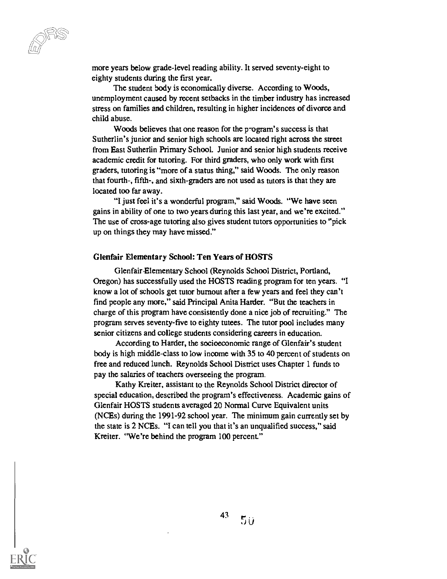more years below grade-level reading ability. It served seventy-eight to eighty students during the first year.

The student body is economically diverse. According to Woods, unemployment caused by recent setbacks in the timber industry has increased stress on families and children, resulting in higher incidences of divorce and child abuse.

Woods believes that one reason for the program's success is that Sutherlin's junior and senior high schools are located right across the street from East Sutherlin Primary School. Junior and senior high students receive academic credit for tutoring. For third graders, who only work with first graders, tutoring is "more of a status thing," said Woods. The only reason that fourth-, fifth-, and sixth-graders are not used as tutors is that they are located too far away.

"I just feel it's a wonderful program," said Woods. "We have seen gains in ability of one to two years during this last year, and we're excited." The use of cross-age tutoring also gives student tutors opportunities to "pick" up on things they may have missed."

#### Glenfair Elementary School: Ten Years or HOSTS

Glenfair Elementary School (Reynolds School District, Portland, Oregon) has successfully used the HOSTS reading program for ten years. "I know a lot of schools get tutor burnout after a few years and feel they can't find people any more," said Principal Anita Harder. "But the teachers in charge of this program have consistently done a nice job of recruiting." The program serves seventy-five to eighty tutees. The tutor pool includes many senior citizens and college students considering careers in education.

According to Harder, the socioeconomic range of Glenfair's student body is high middle-class to low income with 35 to 40 percent of students on free and reduced lunch. Reynolds School District uses Chapter 1 funds to pay the salaries of teachers overseeing the program.

Kathy Kreiter, assistant to the Reynolds School District director of special education, described the program's effectiveness. Academic gains of Glenfair HOSTS students averaged 20 Normal Curve Equivalent units (NCEs) during the 1991-92 school year. The minimum gain currently set by the state is 2 NCEs. "I can tell you that it's an unqualified success," said Kreiter. "We're behind the program 100 percent."

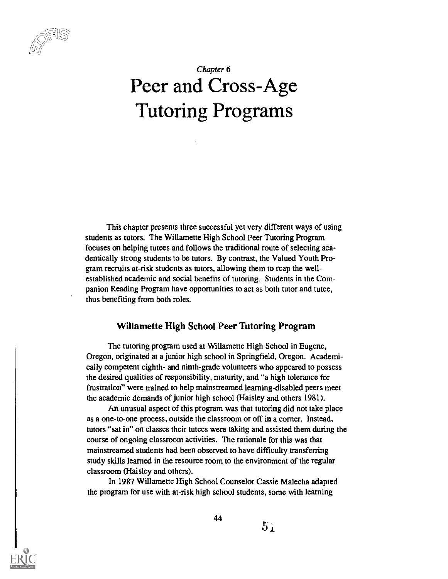# Chapter 6 Peer and Cross-Age Tutoring Programs

This chapter presents three successful yet very different ways of using students as tutors. The Willamette High School Peer Tutoring Program focuses on helping tutees and follows the traditional route of selecting academically strong students to be tutors. By contrast, the Valued Youth Program recruits at-risk students as tutors, allowing them to reap the wellestablished academic and social benefits of tutoring. Students in the Companion Reading Program have opportunities to act as both tutor and tutee, thus benefiting from both roles.

#### Willamette High School Peer Tutoring Program

The tutoring program used at Willamette High School in Eugene, Oregon, originated at a junior high school in Springfield, Oregon. Academically competent eighth- and ninth-grade volunteers who appeared to possess the desired qualities of responsibility, maturity, and "a high tolerance for frustration" were trained to help mainstreamed learning-disabled peers meet the academic demands of junior high school (Haisley and others 1981).

An unusual aspect of this program was that tutoring did not take place as a one-to-one process, outside the classroom or off in a corner. Instead, tutors "sat in" on classes their tutees were taking and assisted them during the course of ongoing classroom activities. The rationale for this was that mainstreamed students had been observed to have difficulty transferring study skills learned in the resource room to the environment of the regular classroom (Haisley and others).

In 1987 Willamette High School Counselor Cassie Malecha adapted the program for use with at-risk high school students, some with learning



44

 $5<sub>i</sub>$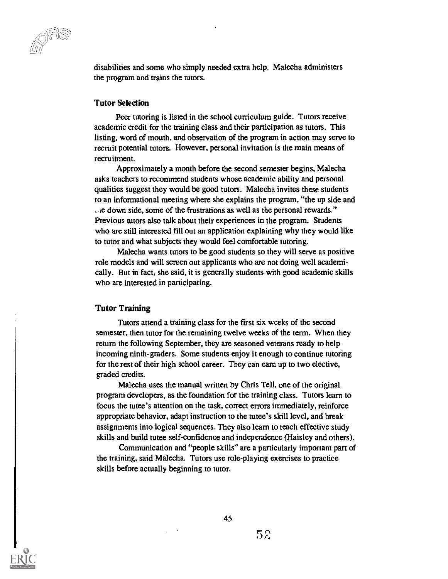$\supseteq$ 

disabilities and some who simply needed extra help. Malecha administers the program and trains the tutors.

#### Tutor Selection

Peer tutoring is listed in the school curriculum guide. Tutors receive academic credit for the training class and their participation as tutors. This listing, word of mouth, and observation of the program in action may serve to recruit potential tutors. However, personal invitation is the main means of recruitment.

Approximately a month before the second semester begins, Malecha asks teachers to recommend students whose academic ability and personal qualities suggest they would be good tutors. Malecha invites these students to an informational meeting where she explains the program, "the up side and e down side, some of the frustrations as well as the personal rewards." Previous tutors also talk about their experiences in the program. Students who are still interested fill out an application explaining why they would like to tutor and what subjects they would feel comfortable tutoring.

Malecha wants tutors to be good students so they will serve as positive role models and will screen out applicants who are not doing well academically. But in fact, she said, it is generally students with good academic skills who are interested in participating.

#### Tutor Training

Tutors attend a training class for the first six weeks of the second semester, then tutor for the remaining twelve weeks of the term. When they return the following September, they are seasoned veterans ready to help incoming ninth-graders. Some students enjoy it enough to continue tutoring for the rest of their high school career. They can earn up to two elective, graded credits.

Malecha uses the manual written by Chris Tell, one of the original program developers, as the foundation for the training class. Tutors learn to focus the tutee's attention on the task, correct errors immediately, reinforce appropriate behavior, adapt instruction to the tutee's skill level, and break assignments into logical sequences. They also learn to teach effective study skills and build tutee self-confidence and independence (Haisley and others).

Communication and "people skills" are a particularly important part of the training, said Malecha. Tutors use role-playing exercises to practice skills before actually beginning to tutor.

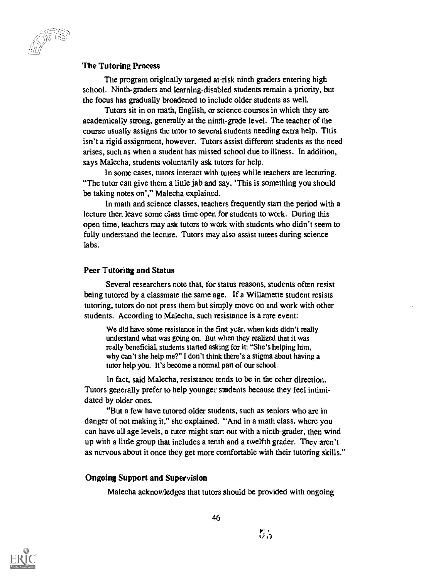The Tutoring Process

The program originally targeted at-risk ninth graders entering high school. Ninth-graders and learning-disabled students remain a priority, but the focus has gradually broadened to include older students as well.

Tutors sit in on math, English, or science courses in which they are academically strong, generally at the ninth-grade level. The teacher of the course usually assigns the tutor to several students needing extra help. This isn't a rigid assignment, however. Tutors assist different students as the need arises, such as when a student has missed school due to illness. In addition, says Malecha, students voluntarily ask tutors for help.

In some cases, tutors interact with tutees while teachers are lecturing. "The tutor can give them a little jab and say, 'This is something you should be taking notes on'," Malecha explained.

In math and science classes, teachers frequently start the period with a lecture then leave some class time open for students to work. During this open time, teachers may ask tutors to work with students who didn't seem to fully understand the lecture. Tutors may also assist tutees during science labs.

#### Peer Tutoring and Status

Several researchers note that, for status reasons, students often resist being tutored by a classmate the same age. If a Willamette student resists tutoring, tutors do not press them but simply move on and work with other students. According to Malecha, such resistance is a rare event:

We did have some resistance in the first year, when kids didn't really understand what was going on. But when they realized that it was really beneficial, students started asking for it: "She's helping him, why can't she help me?" I don't think there's a stigma about having a tutor help you. It's become a normal part of our school.

In fact, said Malecha, resistance tends to be in the other direction. Tutors generally prefer to help younger students because they feel intimidated by older ones.

"But a few have tutored older students, such as seniors who are in danger of not making it," she explained. "And in a math class, where you can have all age levels, a tutor might start out with a ninth-grader, then wind up with a little group that includes a tenth and a twelfth grader. They aren't as nervous about it once they get more comfortable with their tutoring skills."

#### Ongoing Support and Supervision

Malecha acknowledges that tutors should be provided with ongoing



46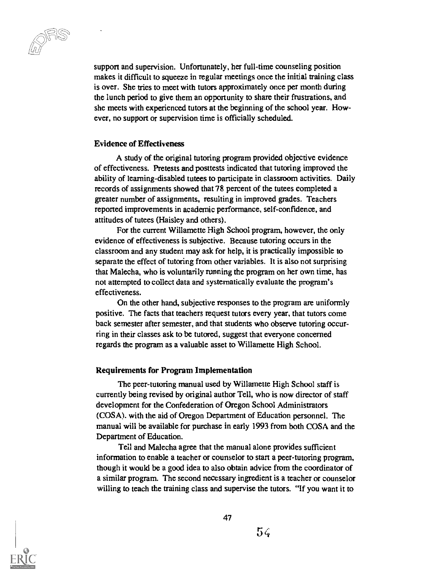support and supervision. Unfortunately, her full-time counseling position makes it difficult to squeeze in regular meetings once the initial training class is over. She tries to meet with tutors approximately once per month during the lunch period to give them an opportunity to share their frustrations, and she meets with experienced tutors at the beginning of the school year. However, no support or supervision time is officially scheduled.

#### Evidence of Effectiveness

A study of the original tutoring program provided objective evidence of effectiveness. Pretests and posttests indicated that tutoring improved the ability of learning-disabled tutees to participate in classroom activities. Daily records of assignments showed that 78 percent of the tutees completed a greater number of assignments, resulting in improved grades. Teachers reported improvements in academic performance, self-confidence, and attitudes of tutees (Haisley and others).

For the current Willamette High School program, however, the only evidence of effectiveness is subjective. Because tutoring occurs in the classroom and any student may ask for help, it is practically impossible to separate the effect of tutoring from other variables. It is also not surprising that Malecha, who is voluntarily running the program on her own time, has not attempted to collect data and systematically evaluate the program's effectiveness.

On the other hand, subjective responses to the program are uniformly positive. The facts that teachers request tutors every year, that tutors come back semester after semester, and that students who observe tutoring occurring in their classes ask to be tutored, suggest that everyone concerned regards the program as a valuable asset to Willamette High School.

#### Requirements for Program Implementation

The peer-tutoring manual used by Willamette High School staff is currently being revised by original author Tell, who is now director of staff development for the Confederation of Oregon School Administrators (COSA). with the aid of Oregon Department of Education personnel. The manual will be available for purchase in early 1993 from both COSA and the Department of Education.

Tell and Malecha agree that the manual alone provides sufficient information to enable a teacher or counselor to start a peer-tutoring program, though it would be a good idea to also obtain advice from the coordinator of a similar program. The second necessary ingredient is a teacher or counselor willing to teach the training class and supervise the tutors. "If you want it to

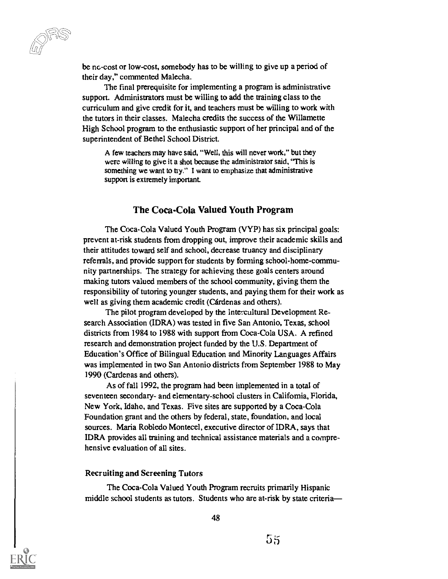be nc-cost or low-cost, somebody has to be willing to give up a period of their day," commented Malecha.

The final prerequisite for implementing a program is administrative support. Administrators must be willing to add the training class to the curriculum and give credit for it, and teachers must be willing to work with the tutors in their classes. Malecha credits the success of the Willamette High School program to the enthusiastic support of her principal and of the superintendent of Bethel School District.

A few teachers may have said, "Well, this will never work." but they were willing to give it a shot because the administrator said, 'This is something we want to try." I want to emphasize that administrative support is extremely important.

#### The Coca-Cola Valued Youth Program

The Coca-Cola Valued Youth Program (VYP) has six principal goals: prevent at-risk students from dropping out, improve their academic skills and their attitudes toward self and school, decrease truancy and disciplinary referrals, and provide support for students by forming school-home-community partnerships. The strategy for achieving these goals centers around making tutors valued members of the school community, giving them the responsibility of tutoring younger students, and paying them for their work as well as giving them academic credit (Cárdenas and others).

The pilot program developed by the Intercultural Development Research Association (IDRA) was tested in five San Antonio, Texas, school districts from 1984 to 1988 with support from Coca-Cola USA. A refined research and demonstration project funded by the U.S. Department of Education's Office of Bilingual Education and Minority Languages Affairs was implemented in two San Antonio districts from September 1988 to May 1990 (Cardenas and others).

As of fall 1992, the program had been implemented in a total of seventeen secondary- and elementary-school clusters in Califomia, Florida, New York, Idaho, and Texas. Five sites are supported by a Coca-Cola Foundation grant and the others by federal, state, foundation, and local sources. Maria Robledo Montecel, executive director of IDRA, says that IDRA provides all training and technical assistance materials and a comprehensive evaluation of all sites.

#### Recruiting and Screening Tutors

The Coca-Cola Valued Youth Program recruits primarily Hispanic middle school students as tutors. Students who are at-risk by state criteria-

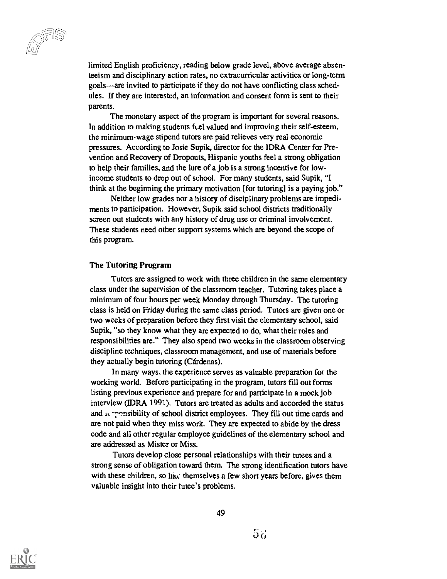limited English proficiency, reading below grade level, above average absenteeism and disciplinary action rates, no extracurricular activities or long-term goals—are invited to participate if they do not have conflicting class schedules. If they are interested, an information and consent form is sent to their parents.

The monetary aspect of the program is important for several reasons. In addition to making students feel valued and improving their self-esteem, the minimum-wage stipend tutors are paid relieves very real economic pressures. According to Josie Supik, director for the IDRA Center for Prevention and Recovery of Dropouts, Hispanic youths feel a strong obligation to help their families, and the lure of a job is a strong incentive for lowincome students to drop out of school. For many students, said Supik, "I think at the beginning the primary motivation [for tutoring] is a paying job."

Neither low grades nor a history of disciplinary problems are impediments to participation. However, Supik said school districts traditionally screen out students with any history of drug use or criminal involvement. These students need other support systems which are beyond the scope of this program.

#### The Tutoring Program

Tutors are assigned to work with three children in the same elementary class under the supervision of the classroom teacher. Tutoring takes place a minimum of four hours per week Monday through Thursday. The tutoring class is held on Friday during the same class period. Tutors are given one or two weeks of preparation before they first visit the elementary school, said Supik, "so they know what they are expected to do, what their roles and responsibilities are." They also spend two weeks in the classroom observing discipline techniques, classroom management, and use of materials before they actually begin tutoring (Cardenas).

In many ways, the experience serves as valuable preparation for the working world. Before participating in the program, tutors fill out forms listing previous experience and prepare for and participate in a mock job interview (IDRA 1991). Tutors are treated as adults and accorded the status and it pensibility of school district employees. They fill out time cards and are not paid when they miss work. They are expected to abide by the dress code and all other regular employee guidelines of the elementary school and are addressed as Mister or Miss.

Tutors develop close personal relationships with their tutees and a strong sense of obligation toward them. The strong identification tutors have with these children, so like themselves a few short years before, gives them valuable insight into their tutee's problems.

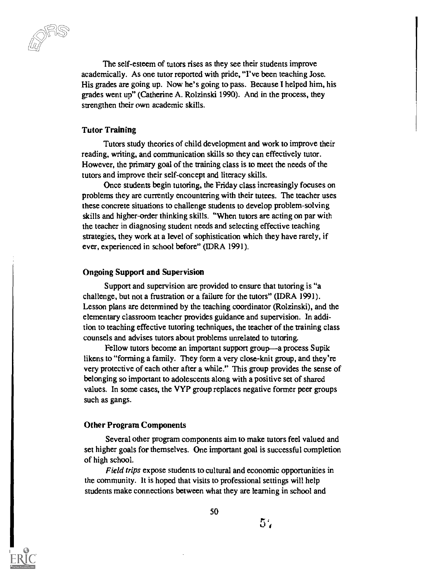The self-esteem of tutors rises as they see their students improve academically. As one tutor reported with pride, "I've been teaching Jose. His grades are going up. Now he's going to pass. Because I helped him, his grades went up" (Catherine A. Rolzinski 1990). And in the process, they strengthen their own academic skills.

#### Tutor Training

Tutors study theories of child development and work to improve their reading, writing, and communication skills so they can effectively tutor. However, the primary goal of the training class is to meet the needs of the tutors and improve their self-concept and literacy skills.

Once students begin tutoring, the Friday class increasingly focuses on problems they are currently encountering with their tutees. The teacher uses these concrete situations to challenge students to develop problem-solving skills and higher-order thinking skills. "When tutors are acting on par with the teacher in diagnosing student needs and selecting effective teaching strategies, they work at a level of sophistication which they have rarely, if ever, experienced in school before" (IDRA 1991).

#### Ongoing Support and Supervision

Support and supervision are provided to ensure that tutoring is "a challenge, but not a frustration or a failure for the tutors" (IDRA 1991). Lesson plans are determined by the teaching coordinator (Rolzinski), and the elementary classroom teacher provides guidance and supervision. In addition to teaching effective tutoring techniques, the teacher of the training class counsels and advises tutors about problems unrelated to tutoring.

Fellow tutors become an important support group—a process Supik likens to "forming a family. They form a very close-knit group, and they're very protective of each other after a while." This group provides the sense of belonging so important to adolescents along with a positive set of shared values. In some cases, the VYP group replaces negative former peer groups such as gangs.

#### Other Program Components

Several other program components aim to make tutors feel valued and set higher goals for themselves. One important goal is successful completion of high school.

Field trips expose students to cultural and economic opportunities in the community. It is hoped that visits to professional settings will help students make connections between what they are learning in school and



50

57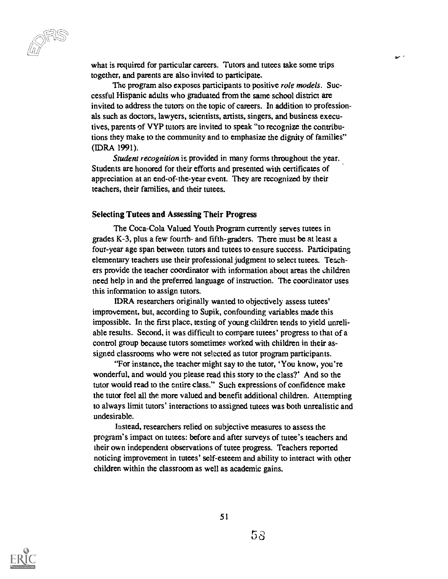$\mu_{\rm{eff}}$ 

what is required for particular careers. Tutors and tutees take some trips together, and parents are also invited to participate.

 $\omega^{-1}$ 

The program also exposes participants to positive *role models*. Successful Hispanic adults who graduated from the same school district are invited to address the tutors on the topic of careers. In addition to professionals such as doctors, lawyers, scientists, artists, singers, and business executives, parents of VYP tutors are invited to speak "to recognize the contributions they make to the community and to emphasize the dignity of families" (IDRA 1991).

Student recognition is provided in many forms throughout the year. Students are honored for their efforts and presented with certificates of appreciation at an end-of-the-year event. They are recognized by their teachers, their families, and their tutees.

#### Selecting Tutees and Assessing Their Progress

The Coca-Cola Valued Youth Program currently serves tutees in grades K-3, plus a few fourth- and fifth-graders. There must be at least a four-year age span between tutors and tutees to ensure success. Participating elementary teachers use their professional judgment to select tutees. Teachers provide the teacher coordinator with information about areas the children need help in and the preferred language of instruction. The coordinator uses this information to assign tutors.

IDRA researchers originally wanted to objectively assess tutees' improvement, but, according to Supik, confounding variables made this impossible. In the first place, testing of young children tends to yield unreliable results. Second, it was difficult to compare tutees' progress to that of a control group because tutors sometimes worked with children in their assigned classrooms who were not selected as tutor program participants.

"For instance, the teacher might say to the tutor, 'You know, you're wonderful, and would you please read this story to the class?' And so the tutor would read to the entire class." Such expressions of confidence make the tutor feel all the more valued and benefit additional children. Attempting to always limit tutors' interactions to assigned tutees was both unrealistic and undesirable.

Instead, researchers relied on subjective measures to assess the program's impact on tutees: before and after surveys of tutee's teachers and their own independent observations of tutee progress. Teachers reported noticing improvement in tutees' self-esteem and ability to interact with other children within the classroom as well as academic gains.

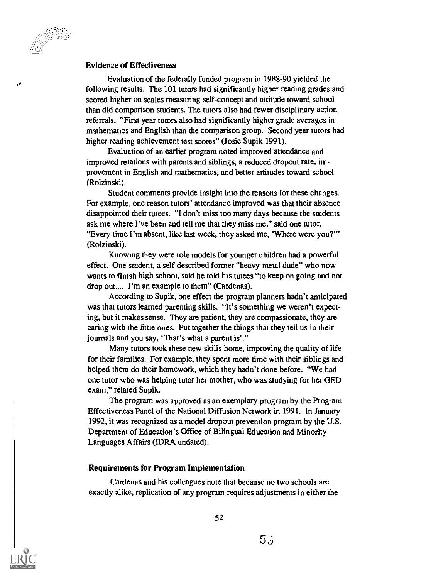Evidence of Effectiveness

uu -

Evaluation of the federally funded program in 1988-90 yielded the following results. The 101 tutors had significantly higher reading grades and scored higher on scales measuring self-concept and attitude toward school than did comparison students. The tutors also had fewer disciplinary action referrals. "First year tutors also had significantly higher grade averages in mathematics and English than the comparison group. Second year tutors had higher reading achievement test scores" (Josie Supik 1991).

Evaluation of an earlier program noted improved attendance and improved relations with parents and siblings, a reduced dropout rate, improvement in English and mathematics, and better attitudes toward school (Rolzinski).

Student comments provide insight into the reasons for these changes. For example, one reason tutors' attendance improved was that their absence disappointed their tutees. "I don't miss too many days because the students ask me where I've been and teil me that they miss me," said one tutor. "Every time I'm absent, like last week, they asked me, 'Where were you?"' (Rolzinski).

Knowing they were role models for younger children had a powerful effect. One student, a self-described former "heavy metal dude" who now wants to finish high school, said he told his tutees "to keep on going and not drop out.... I'm an example to them" (Cardenas).

According to Supik, one effect the program planners hadn't anticipated was that tutors learned parenting skills. "It's something we weren't expecting, but it makes sense. They are patient, they are compassionate, they are caring with the little ones. Put together the things that they tell us in their journals and you say, 'That's what a parent is'."

Many tutors took these new skills home, improving the quality of life for their families. For example, they spent more time with their siblings and helped them do their homework, which they hadn't done before. "We had one tutor who was helping tutor her mother, who was studying for her GED exam," related Supik.

The program was approved as an exemplary program by the Program Effectiveness Panel of the National Diffusion Network in 1991. In January 1992, it was recognized as a model dropout prevention program by the U.S. Department of Education's Office of Bilingual Education and Minority Languages Affairs (IDRA undated).

#### Requirements for Program Implementation

Cardenas and his colleagues note that because no two schools are exactly alike, replication of any program requires adjustments in either the



 $5.5$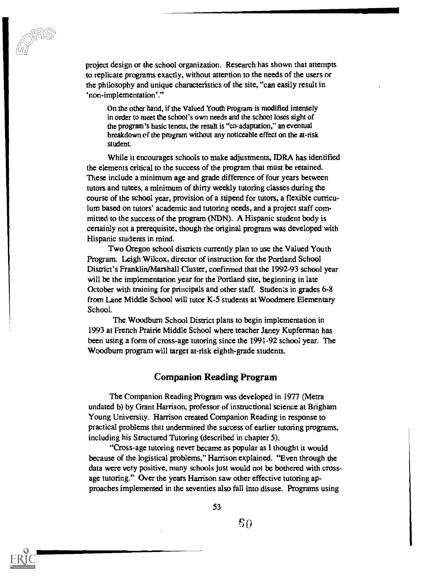project design or the school organization. Research has shown that attempts to replicate programs exactly, without attention to the needs of the users or the philosophy and unique characteristics of the site, "can easily result in `non-implementation'."

On the other hand, if the Valued Youth Program is modified intensely in order to meet the school's own needs and the school loses sight of the program's basic tenets, the result is "co-adaptation," an eventual breakdown of the program without any noticeable effect on the at-risk student.

While it encourages schools to make adjustments, IDRA has identified the elements critical to the success of the program that must be retained. These include a minimum age and grade difference of four years between tutors and tutees, a minimum of thirty weekly tutoring classes during the course of the school year, provision of a stipend for tutors, a flexible curriculum based on tutors' academic and tutoring needs, and a project staff committed to the success of the program (NDN). A Hispanic student body is certainly not a prerequisite, though the original program was developed with Hispanic students in mind.

Two Oregon school districts currently plan to use the Valued Youth Program. Leigh Wilcox, director of instruction for the Portland School District's Franklin/Marshall Cluster, confirmed that the 1992-93 school year will be the implementation year for the Portland site, beginning in late October with training for principals and other staff. Students in grades 6-8 from Lane Middle School will tutor K-5 students at Woodmere Elementary School.

The Woodburn School District plans to begin implementation in 1993 at French Prairie Middle School where teacher Janey Kupferman has been using a form of cross-age tutoring since the 1991-92 school year. The Woodburn program will target at-risk eighth-grade students.

#### Companion Reading Program

The Companion Reading Program was developed in 1977 (Metra undated b) by Grant Harrison, professor of instructional science at Brigham Young University. Harrison created Companion Reading in response to practical problems that undermined the success of earlier tutoring programs, including his Structured Tutoring (described in chapter 5).

"Cross-age tutoring never became as popular as I thought it would because of the logistical problems," Harrison explained. "Even through the data were very positive, many schools just would not be bothered with crossage tutoring." Over the years Harrison saw other effective tutoring approaches implemented in the seventies also fall into disuse. Programs using



53

SO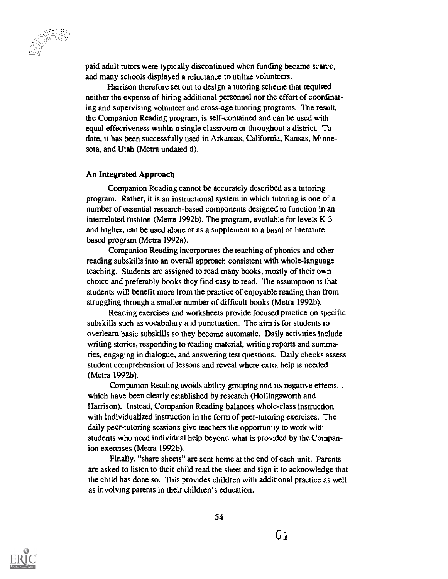paid adult tutors were typically discontinued when funding became scarce, and many schools displayed a reluctance to utilize volunteers.

Harrison therefore set out to design a tutoring scheme that required neither the expense of hiring additional personnel nor the effort of coordinating and supervising volunteer and cross-age tutoring programs. The result, the Companion Reading program, is self-contained and can be used with equal effectiveness within a single classroom or throughout a district. To date, it has been successfully used in Arkansas, California, Kansas, Minnesota, and Utah (Metra undated d).

#### An Integrated Approach

Companion Reading cannot be accurately described as a tutoring program. Rather, it is an instructional system in which tutoring is one of a number of essential research-based components designed to function in an interrelated fashion (Metra 1992b). The program, available for levels K-3 and higher, can be used alone or as a supplement to a basal or literaturebased program (Metra 1992a).

Companion Reading incorporates the teaching of phonics and other reading subskills into an overall approach consistent with whole-language teaching. Students are assigned to read many books, mostly of their own choice and preferably books they find easy to read. The assumption is that students will benefit more from the practice of enjoyable reading than from struggling through a smaller number of difficult books (Meta 19926).

Reading exercises and worksheets provide focused practice on specific subskills such as vocabulary and punctuation. The aim is for students to overlearn basic subskills so they become automatic. Daily activities include writing stories, responding to reading material, writing reports and summaries, engaging in dialogue, and answering test questions. Daily checks assess student comprehension of lessons and reveal where extra help is needed (Metra 1992b).

Companion Reading avoids ability grouping and its negative effects, . which have been clearly established by research (Hollingsworth and Harrison). Instead, Companion Reading balances whole-class instruction with individualized instruction in the form of peer-tutoring exercises. The daily peer-tutoring sessions give teachers the opportunity to work with students who need individual help beyond what is provided by the Companion exercises (Metra 1992b).

Finally, "share sheets" are sent home at the end of each unit. Parents are asked to listen to their child read the sheet and sign it to acknowledge that the child has done so. This provides children with additional practice as well as involving parents in their children's education.

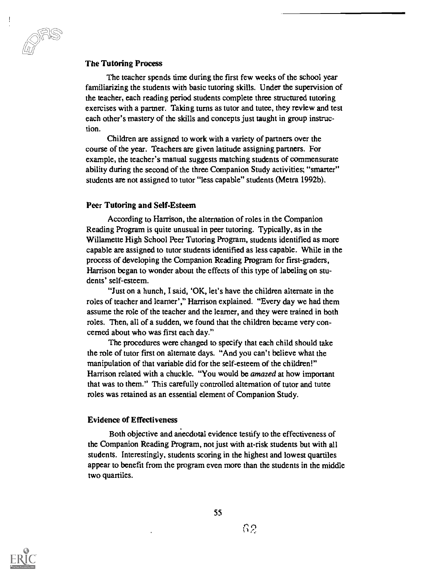#### The Tutoring Process

The teacher spends time during the first few weeks of the school year familiarizing the students with basic tutoring skills. Under the supervision of the teacher, each reading period students complete three structured tutoring exercises with a partner. Taking turns as tutor and tutee, they review and test each other's mastery of the skills and concepts just taught in group instruction.

Children are assigned to work with a variety of partners over the course of the year. Teachers are given latitude assigning partners. For example, the teacher's manual suggests matching students of commensurate ability during the second of the three Companion Study activities; "smarter" students are not assigned to tutor "less capable" students (Metra 1992b).

#### Peer Tutoring and Self-Esteem

According to Harrison, the alternation of roles in the Companion Reading Program is quite unusual in peer tutoring. Typically, as in the Willamette High School Peer Tutoring Program, students identified as more capable are assigned to tutor students identified as less capable. While in the process of developing the Companion Reading Program for first-graders, Harrison began to wonder about the effects of this type of labeling on students' self-esteem.

"Just on a hunch, I said, 'OK, let's have the children alternate in the roles of teacher and learner'," Harrison explained. "Every day we had them assume the role of the teacher and the learner, and they were trained in both roles. Then, all of a sudden, we found that the children became very concerned about who was first each day."

The procedures were changed to specify that each child should take the role of tutor first on alternate days. "And you can't believe what the manipulation of that variable did for the self-esteem of the children!" Harrison related with a chuckle. "You would be amazed at how important that was to them." This carefully controlled alternation of tutor and tutee roles was retained as an essential element of Companion Study.

#### Evidence of Effectiveness

Both objective and anecdotal evidence testify to the effectiveness of the Companion Reading Program, not just with at-risk students but with all students. Interestingly, students scoring in the highest and lowest quartiles appear to benefit from the program even more than the students in the middle two quartiles.



55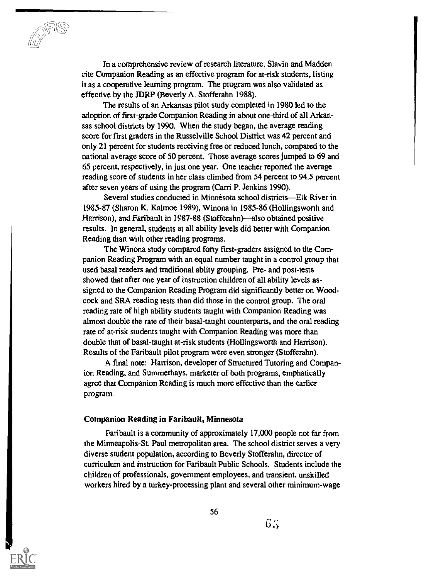In a comprehensive review of research literature, Slavin and Madden cite Companion Reading as an effective program for at-risk students, listing it as a cooperative learning program. The program was also validated as effective by the JDRP (Beverly A. Stofferahn 1988).

The results of an Arkansas pilot study completed in 1980 led to the adoption of first-grade Companion Reading in about one-third of all Arkansas school districts by 1990. When the study began, the average reading score for first graders in the Russelville School District was 42 percent and only 21 percent for students receiving free or reduced lunch, compared to the national average score of 50 percent. Those average scores jumped to 69 and 65 percent, respectively, in just one year. One teacher reported the average reading score of students in her class climbed from 54 percent to 94.5 percent after seven years of using the program (Carri P. Jenkins 1990).

Several studies conducted in Minnesota school districts—Elk River in 1985-87 (Sharon K. Kalmoe 1989), Winona in 1985-86 (Hollingsworth and Harrison), and Faribault in 1987-88 (Stofferahn)—also obtained positive results. In general, students at all ability levels did better with Companion Reading than with other reading programs.

The Winona study compared forty first-graders assigned to the Companion Reading Program with an equal number taught in a control group that used basal readers and traditional ablity grouping. Pre- and post-tests showed that after one year of instruction children of all ability levels assigned to the Companion Reading Program did significantly better on Woodcock and SRA reading tests than did those in the control group. The oral reading rate of high ability students taught with Companion Reading was almost double the rate of their basal-taught counterparts, and the oral reading rate of at-risk students taught with Companion Reading was more than double that of basal-taught at-risk students (Hollingsworth and Harrison). Results of the Faribault pilot program were even stronger (Stofferahn).

A final note: Harrison, developer of Structured Tutoring and Companion Reading, and Summerhays, marketer of both programs, emphatically agree that Companion Reading is much more effective than the earlier program.

#### Companion Reading in Faribault, Minnesota

Faribault is a community of approximately 17,000 people not far from the Minneapolis-St. Paul metropolitan area. The school district serves a very diverse student population, according to Beverly Stofferahn, director of curriculum and instruction for Faribault Public Schools. Students include the children of professionals, government employees, and transient, unskilled workers hired by a turkey-processing plant and several other minimum-wage



 $6.5$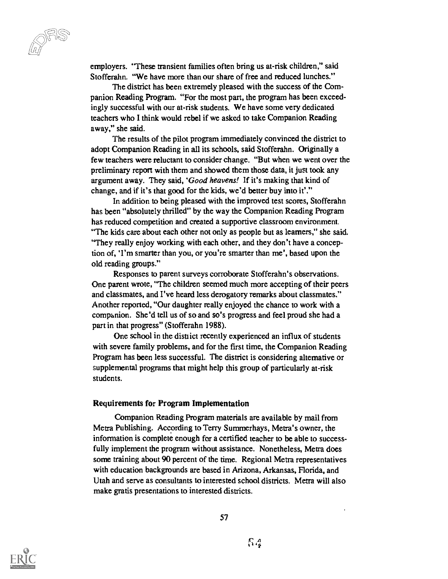employers. "These transient families often bring us at-risk children," said Stofferahn. "We have more than our share of free and reduced lunches."

The district has been extremely pleased with the success of the Companion Reading Program. "For the most part, the program has been exceedingly successful with our at-risk students. We have some very dedicated teachers who I think would rebel if we asked to take Companion Reading away," she said.

The results of the pilot program immediately convinced the district to adopt Companion Reading in all its schools, said Stofferahn. Originally a few teachers were reluctant to consider change. "But when we went over the preliminary report with them and showed them those data, it just took any argument away. They said, 'Good heavens! If it's making that kind of change, and if it's that good for the kids, we'd better buy into it'."

In addition to being pleased with the improved test scores, Stofferahn has been "absolutely thrilled" by the way the Companion Reading Program has reduced competition and created a supportive classroom environment. "The kids care about each other not only as people but as learners," she said. "They really enjoy working with each other, and they don't have a conception of, 'I'm smarter than you, or you're smarter than me', based upon the old reading groups."

Responses to parent surveys corroborate Stofferahn's observations. One parent wrote, "The children seemed much more accepting of their peers and classmates, and I've heard less derogatory remarks about classmates." Another reported, "Our daughter really enjoyed the chance to work with a companion. She'd tell us of so and so's progress and feel proud she had a part in that progress" (Stofferahn 1988).

One school in the district recently experienced an influx of students with severe family problems, and for the first time, the Companion Reading Program has been less successful. The district is considering alternative or supplemental programs that might help this group of particularly at-risk students.

#### Requirements for Program Implementation

Companion Reading Program materials are available by mail from Metra Publishing. According to Terry Summerhays, Metra's owner, the information is complete enough for a certified teacher to be able to successfully implement the program without assistance. Nonetheless, Metra does some training about 90 percent of the time. Regional Metra representatives with education backgrounds are based in Arizona, Arkansas, Florida, and Utah and serve as consultants to interested school districts. Metra will also make gratis presentations to interested districts.

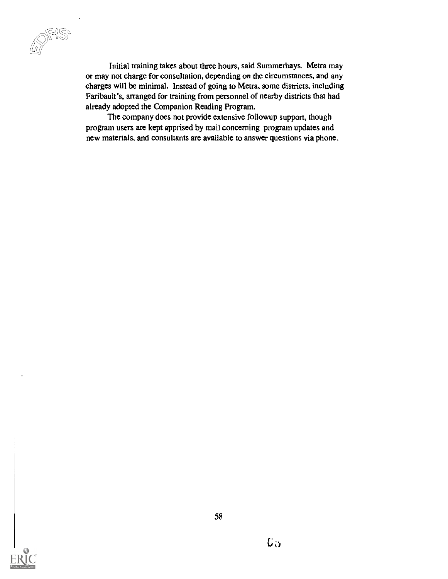Initial training takes about three hours, said Summerhays. Metra may or may not charge for consultation, depending on the circumstances, and any charges will be minimal. Instead of going to Metra, some districts, including Faribault's, arranged for training from personnel of nearby districts that had already adopted the Companion Reading Program.

The company does not provide extensive followup support, though program users are kept apprised by mail concerning program updates and new materials, and consultants are available to answer questions via phone.

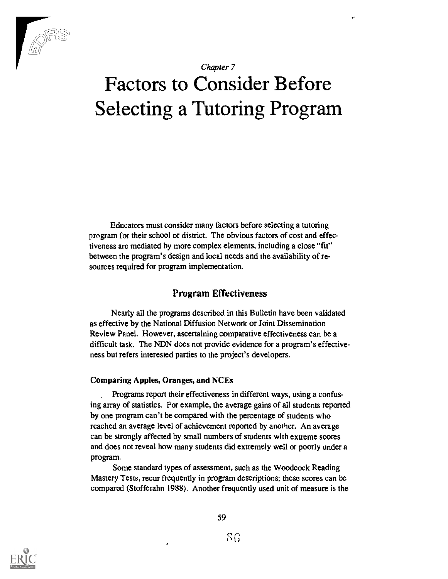

#### Chapter 7

# Factors to Consider Before Selecting a Tutoring Program

Educators must consider many factors before selecting a tutoring program for their school or district. The obvious factors of cost and effectiveness are mediated by more complex elements, including a close "fit" between the program's design and local needs and the availability of resources required for program implementation.

### Program Effectiveness

Nearly all the programs described in this Bulletin have been validated as effective by the National Diffusion Network or Joint Dissemination Review Panel. However, ascertaining comparative effectiveness can be a difficult task. The NDN does not provide evidence for a program's effectiveness but refers interested parties to the project's developers.

#### Comparing Apples, Oranges, and NCEs

Programs report their effectiveness in different ways, using a confusing array of statistics. For example, the average gains of all students reported by one program can't be compared with the percentage of students who reached an average level of achievement reported by another. An average can be strongly affected by small numbers of students with extreme scores and does not reveal how many students did extremely well or poorly under a program.

Some standard types of assessment, such as the Woodcock Reading Mastery Tests, recur frequently in program descriptions; these scores can be compared (Stofferahn 1988). Another frequently used unit of measure is the

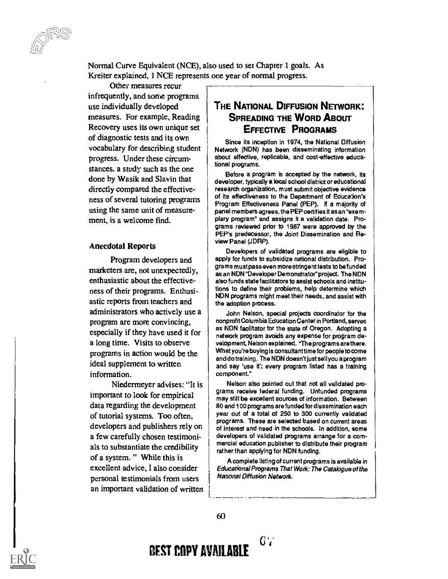Normal Curve Equivalent (NCE), also used to set Chapter 1 goals. As Kreiter explained, 1 NCE represents one year of normal progress.

Other measures recur infrequently, and some programs use individually developed measures. For example, Reading Recovery uses its own unique set of diagnostic tests and its own vocabulary for describing student progress. Under these circumstances, a study such as the one done by Wasik and Slavin that directly compared the effectiveness of several tutoring programs using the same unit of measurement, is a welcome find.

#### Anecdotal Reports

Program developers and marketers are, not unexpectedly, enthusiastic about the effectiveness of their programs. Enthusiastic reports from teachers and administrators who actively use a program are more convincing, especially if they have used it for a long time. Visits to observe programs in action would be the ideal supplement to written information.

Niedermeyer advises: "It is important to look for empirical data regarding the development of tutorial systems. Too often, developers and publishers rely on a few carefully chosen testimonials to substantiate the credibility of a system. " While this is excellent advice, I also consider personal testimonials from users an important validation of written

### THE NATIONAL DIFFUSION NETWORK: SPREADING THE WORD ABOUT EFFECTIVE PROGRAMS

Since its inception in 1974, the National Diffusion Network (NDN) has been disseminating information about effective, replicable, and cost-effective educational programs.

Before a program is accepted by the network, its developer, typically a local school district or educational research organization, must submit objective evidence of its effectiveness to the Department of Education's Program Effectiveness Panel (PEP). If a majority of panel members agrees, the PEP certifies it as an "exemplary program" and assigns it a validation date. Programs reviewed prior to 1987 were approved by the PEP's predecessor, the Joint Dissemination and Review Panel (JDRP).

Developers of validated programs are eligible to apply for funds to subsidize national distribution. Programs must pass even more stringent tests to be funded as an NDN "Developer Demonstrator" project. The NON also funds state facilitators to assist schools and institutions to define their problems, help determine which NDN programs might meet their needs, and assist with the adoption process.

John Nelson, special projects coordinator for the nonprofit Columbia Education Center in Portland, serves as NON facilitator for the state of Oregon. Adopting a network program avoids any expense for program development, Nelson explained. "The programs are there. What you're buying is consultant time for people to come and do training. The NDN doesn't just sell you a program and say 'use it'; every program listed has a training component."

Nelson also pointed out that not all validated programs receive federal funding. Unfunded programs may still be excellent sources of information. Between 80 and 100 programs are funded for dissemination each year out of a total of 250 to 300 currently validated programs. These are selected based on current areas of interest and need in the schools. In addition, some developers of validated programs arrange for a commercial education publisher to distribute their program rather than applying for NDN funding.

A complete listing of current programs is available in Educational Programs That Work: The Catalogue of the National Diffusion Network.

 $G$ .

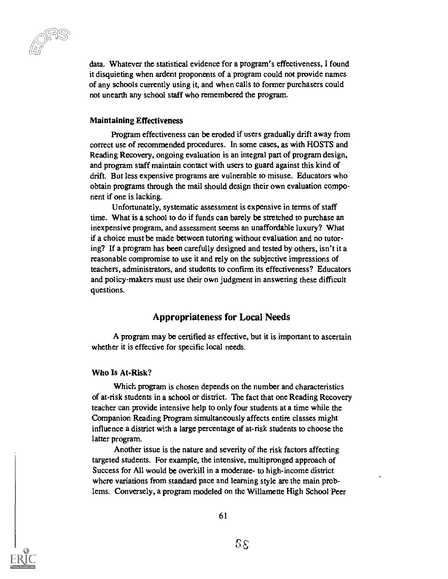data. Whatever the statistical evidence for a program's effectiveness, I found it disquieting when ardent proponents of a program could not provide names of any schools currently using it, and when calls to former purchasers could not unearth any school staff who remembered the program.

#### Maintaining Effectiveness

Program effectiveness can be eroded if users gradually drift away from correct use of recommended procedures. In some cases, as with HOSTS and Reading Recovery, ongoing evaluation is an integral part of program design, and program staff maintain contact with users to guard against this kind of drift. But less expensive programs are vulnerable to misuse. Educators who obtain programs through the mail should design their own evaluation component if one is lacking.

Unfortunately, systematic assessment is expensive in terms of staff time. What is a school to do if funds can barely be stretched to purchase an inexpensive program, and assessment seems an unaffordable luxury? What if a choice must be made between tutoring without evaluation and no tutoring? If a program has been carefully designed and tested by others, isn't it a reasonable compromise to use it and rely on the subjective impressions of teachers, administrators, and students to confirm its effectiveness? Educators and policy-makers must use their own judgment in answering these difficult questions.

#### Appropriateness for Local Needs

A program may be certified as effective, but it is important to ascertain whether it is effective for specific local needs.

#### Who Is At-Risk?

Which program is chosen depends on the number and characteristics of at-risk students in a school or district. The fact that one Reading Recovery teacher can provide intensive help to only four students at a time while the Companion Reading Program simultaneously affects entire classes might influence a district with a large percentage of at-risk students to choose the latter program.

Another issue is the nature and severity of the risk factors affecting targeted students. For example, the intensive, multipronged approach of Success for All would be overkill in a moderate- to high-income district where variations from standard pace and learning style are the main problems. Conversely, a program modeled on the Willamette High School Peer

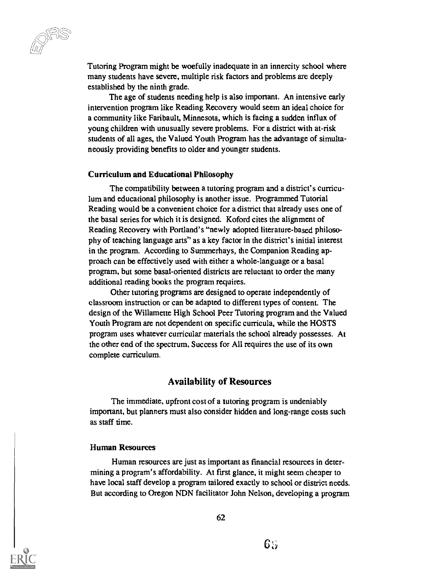Tutoring Program might be woefully inadequate in an innercity school where many students have severe, multiple risk factors and problems are deeply established by the ninth grade.

The age of students needing help is also important. An intensive early intervention program like Reading Recovery would seem an ideal choice for a community like Faribault, Minnesota, which is facing a sudden influx of young children with unusually severe problems. For a district with at-risk students of all ages, the Valued Youth Program has the advantage of simultaneously providing benefits to older and younger students.

#### Curriculum and Educational Philosophy

The compatibility between a tutoring program and a district's curriculum and educational philosophy is another issue. Programmed Tutorial Reading would be a convenient choice for a district that already uses one of the basal series for which it is designed. Koford cites the alignment of Reading Recovery with Portland's "newly adopted literature-based philosophy of teaching language arts" as a key factor in the district's initial interest in the program. According to Summerhays, the Companion Reading approach can be effectively used with either a whole-language or a basal program, but some basal-oriented districts are reluctant to order the many additional reading books the program requires.

Other tutoring programs are designed to operate independently of classroom instruction or can be adapted to different types of content. The design of the Willamette High School Peer Tutoring program and the Valued Youth Program are not dependent on specific curricula, while the HOSTS program uses whatever curricular materials the school already possesses. At the other end of the spectrum, Success for All requires the use of its own complete curriculum.

#### Availability of Resources

The immediate, upfront cost of a tutoring program is undeniably important, but planners must also consider hidden and long-range costs such as staff time.

#### Human Resources

Human resources are just as important as financial resources in determining a program's affordability. At first glance, it might seem cheaper to have local staff develop a program tailored exactly to school or district needs. But according to Oregon NDN facilitator John Nelson, developing a program

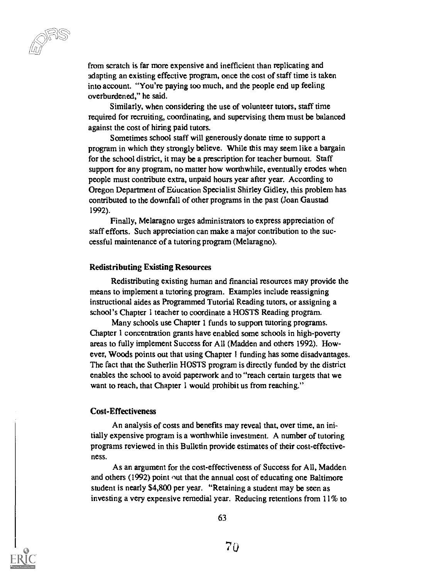from scratch is far more expensive and inefficient than replicating and adapting an existing effective program, once the cost of staff time is taken into account. "You're paying too much, and the people end up feeling overburdened," he said.

Similarly, when considering the use of volunteer tutors, staff time required for recruiting, coordinating, and supervising them must be balanced against the cost of hiring paid tutors.

Sometimes school staff will generously donate time to support a program in which they strongly believe. While this may seem like a bargain for the school district, it may be a prescription for teacher burnout. Staff support for any program, no matter how worthwhile, eventually erodes when people must contribute extra, unpaid hours year after year. According to Oregon Department of Education Specialist Shirley Gidley, this problem has contributed to the downfall of other programs in the past (Joan Gaustad 1992).

Finally, Melaragno urges administrators to express appreciation of staff efforts. Such appreciation can make a major contribution to the successful maintenance of a tutoring program (Melaragno).

#### Redistributing Existing Resources

Redistributing existing human and financial resources may provide the means to implement a tutoring program. Examples include reassigning instructional aides as Programmed Tutorial Reading tutors, or assigning a school's Chapter 1 teacher to coordinate a HOSTS Reading program.

Many schools use Chapter 1 funds to support tutoring programs. Chapter 1 concentration grants have enabled some schools in high-poverty areas to fully implement Success for All (Madden and others 1992). However, Woods points out that using Chapter 1 funding has some disadvantages. The fact that the Sutherlin HOSTS program is directly funded by the district enables the school to avoid paperwork and to "reach certain targets that we want to reach, that Chapter 1 would prohibit us from reaching."

#### Cost-Effectiveness

An analysis of costs and benefits may reveal that, over time, an initially expensive program is a worthwhile investment. A number of tutoring programs reviewed in this Bulletin provide estimates of their cost-effectiveness.

As an argument for the cost-effectiveness of Success for All, Madden and others (1992) point out that the annual cost of educating one Baltimore student is nearly \$4,800 per year. "Retaining a student may be seen as investing a very expensive remedial year. Reducing retentions from 11% to

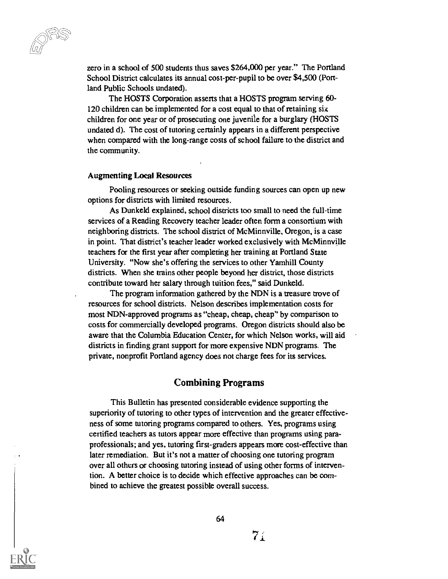zero in a school of 500 students thus saves \$264,000 per year." The Portland School District calculates its annual cost-per-pupil to be over \$4,500 (Portland Public Schools undated).

The HOSTS Corporation asserts that a HOSTS program serving 60- 120 children can be implemented for a cost equal to that of retaining six children for one year or of prosecuting one juvenile for a burglary (HOSTS undated d). The cost of tutoring certainly appears in a different perspective when compared with the long-range costs of school failure to the district and the community.

#### Augmenting Local Resources

Pooling resources or seeking outside funding sources can open up new options for districts with limited resources.

As Dunkeld explained, school districts too small to need the full-time services of a Reading Recovery teacher leader often form a consortium with neighboring districts. The school district of McMinnville, Oregon, is a case in point. That district's teacher leader worked exclusively with McMinnville teachers for the first year after completing her training at Portland State University. "Now she's offering the services to other Yamhill County districts. When she trains other people beyond her district, those districts contribute toward her salary through tuition fees," said Dunkeld.

The program information gathered by the NDN is a treasure trove of resources for school districts. Nelson describes implementation costs for most NDN-approved programs as "cheap, cheap, cheap" by comparison to costs for commercially developed programs. Oregon districts should also be aware that the Columbia Education Center, for which Nelson works, will aid districts in finding grant support for more expensive NDN programs. The private, nonprofit Portland agency does not charge fees for its services.

#### Combining Programs

This Bulletin has presented considerable evidence supporting the superiority of tutoring to other types of intervention and the greater effectiveness of some tutoring programs compared to others. Yes, programs using certified teachers as tutors appear more effective than programs using paraprofessionals; and yes, tutoring first-graders appears more cost-effective than later remediation. But it's not a matter of choosing one tutoring program over all others or choosing tutoring instead of using other forms of intervention. A better choice is to decide which effective approaches can be combined to achieve the greatest possible overall success.

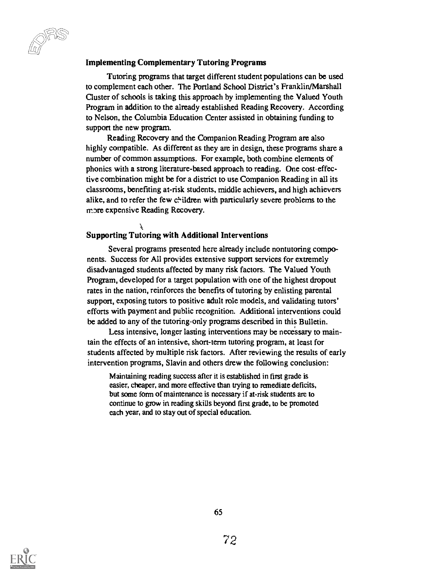#### Implementing Complementary Tutoring Programs

Tutoring programs that target different student populations can be used to complement each other. The Portland School District's Franklin/Marshall Cluster of schools is taking this approach by implementing the Valued Youth Program in addition to the already established Reading Recovery. According to Nelson, the Columbia Education Center assisted in obtaining funding to support the new program.

Reading Recovery and the Companion Reading Program are also highly compatible. As different as they are in design, these programs share a number of common assumptions. For example, both combine elements of phonics with a strong literature-based approach to reading. One cost-effective combination might be for a district to use Companion Reading in all its classrooms, benefiting at-risk students, middle achievers, and high achievers alike, and to refer the few children with particularly severe problems to the more expensive Reading Recovery.

#### Supporting Tutoring with Additional Interventions

Several programs presented here already include nontutoring components. Success for All provides extensive support services for extremely disadvantaged students affected by many risk factors. The Valued Youth Program, developed for a target population with one of the highest dropout rates in the nation, reinforces the benefits of tutoring by enlisting parental support, exposing tutors to positive adult role models, and validating tutors' efforts with payment and public recognition. Additional interventions could be added to any of the tutoring-only programs described in this Bulletin.

Less intensive, longer lasting interventions may be necessary to maintain the effects of an intensive, short-term tutoring program, at least for students affected by multiple risk factors. After reviewing the results of early intervention programs, Slavin and others drew the following conclusion:

Maintaining reading success after it is established in first grade is easier, cheaper, and more effective than trying to remediate deficits, but some form of maintenance is necessary if at-risk students are to continue to grow in reading skills beyond first grade, to be promoted each year, and to stay out of special education.

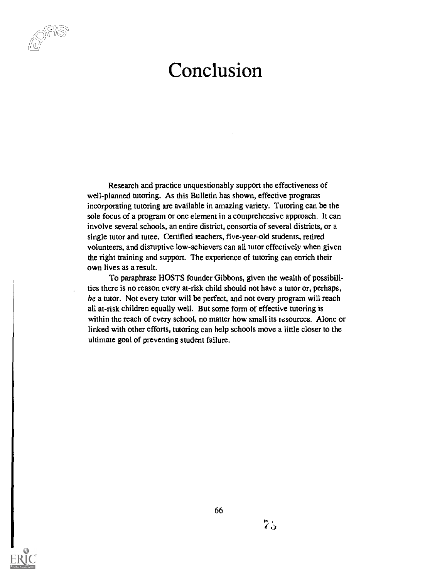## Conclusion

Research and practice unquestionably support the effectiveness of well-planned tutoring. As this Bulletin has shown, effective programs incorporating tutoring are available in amazing variety. Tutoring can be the sole focus of a program or one element in a comprehensive approach. It can involve several schools, an entire district, consortia of several districts, or a single tutor and tutee. Certified teachers, five-year-old students, retired volunteers, and disruptive low-achievers can all tutor effectively when given the right training and support. The experience of tutoring can enrich their own lives as a result.

To paraphrase HOSTS founder Gibbons, given the wealth of possibilities there is no reason every at-risk child should not have a tutor or, perhaps, be a tutor. Not every tutor will be perfect, and not every program will reach all at-risk children equally well. But some form of effective tutoring is within the reach of every school, no matter how small its resources. Alone or linked with other efforts, tutoring can help schools move a little closer to the ultimate goal of preventing student failure.

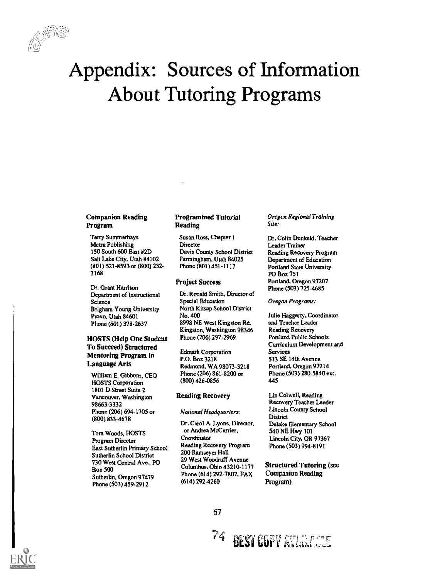

# Appendix: Sources of Information About Tutoring Programs

## Companion Reading Program

Terry Sumrnerhays Metre Publishing 150 South 600 East #2D Salt Lake City, Utah 84102 (801) 521-8593 or (800) 232- 3168

Dr. Grant Harrison Department of Instructional Science Brigham Young University Provo, Utah 84601 Phone (801) 378-2637

## HOSTS (Help One Student To Succeed) Structured Mentoring Program in Language Arts

William E. Gibbons, CEO HOSTS Corporation 1801 D Street Suite 2 Vancouver, Washington 98663-3332 Phone (206) 694-1705 or (800) 8334678

Tom Woods, HOSTS Program Director East Sutherlin Primary School Sutherlin School District 730 West Central Ave., PO Box 500 Sutherlin, Oregon 97479 Phone (503) 459-2912

## Programmed Tutorial Reading

Susan Ross, Chapter 1 **Director** Davis County School District Farmingham, Utah 84025 Phone (801)451-1117

### Project Success

Dr. Ronald Smith, Director of Special Education North Kitsap School District No. 400 8998 NE West Kingston Rd. Kingston, Washington 98346 Phone (206) 297-2969

Edmark Corporation P.O. Box 3218 Redmond, WA 98073-3218 Phone (206) 861-8200 or (800) 426-0856

#### Reading Recovery

#### National Headquarters;

Dr. Carol A. Lyons, Director, or Andrea McCarrier, Coordinator Reading Recovery Program 200 Ramseyer Hall 29 West Woodruff Avenue Columbus, Ohio 43210-1177 Phone (614) 292-7807, FAX (614) 292-42W

Oregon Regional Training Site:

Dr. Colin Dunkeld, Teacher Leader Trainer Reading Recovery Program Department of Education Portland State University PO Box 751 Portland, Oregon 97207 Phone (503) 725-4685

Oregon Programs:

Julie Haggerty, Coordinator and Teacher Leader Reading Recovery Portland Public Schools Curriculum Development and Services 513 SE 14th Avenue Portland, Oregon 97214 Phone (503) 280-5840 ext. 445

Lin Colwell, Reading Recovery Teacher Leader Lincoln County School **District** Delake Elementary School 540 NE Hwy 101 Lincoln City, OR 97367 Phone (503) 994-8191

Structured Tutoring (see Companion Reading Program)



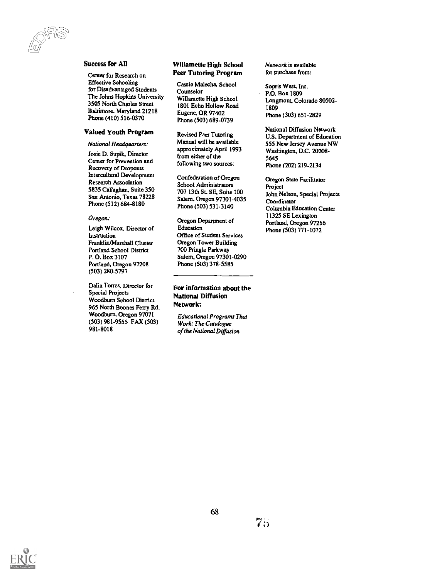#### Success for All

LL21.r1/

Center for Research on Effective Schooling for Disadvantaged Students The Johns Hopkins University 3505 North Charles Street Baltimore, Maryland 21218 Phone (410) 516-0370

## Valued Youth Program

#### National Headquarters:

Josie D. Supik, Director Center for Prevention and Recovery of Dropouts Intercultural Development Research Association 5835 Callaghan, Suite 350 San Antonio, Texas 78228 Phone (512) 684-8180

#### Oregon:

Leigh Wilcox, Director of Instruction Franklin/Marshall Cluster Portland School District P.O. Box 3107 Portland, Oregon 97208 (503) 280-5797

Dalia Torres, Director for Special Projects Woodburn School District 965 North Boones Ferry Rd. Woodburn. Oregon 97071 (503) 981-9555 FAX (503) 981-8018

### Willamette High School Peer Tutoring Program

Cassie Malecha, School Counselor Willamette High School 1801 Echo Hollow Road Eugene, OR 97402 Phone (503) 689-0739

Revised Peer Tutoring Manual will be available approximately April 1993 from either of the following two sources:

Confederation of Oregon School Administrators 707 13th St. SE, Suite 100 Salem. Oregon 97301-4035 Phone (503) 531-3140

Oregon Department of Education Office of Student Services Oregon Tower Building 700 Pringle Parkway Salem, Oregon 97301-0290 Phone (503) 378-5585

For information about the National Diffusion Network:

Educational Programs Thal Work: The Catalogue of the National Diffusion

Network is available for purchase from:

Sopris West. Inc. P.O. Box 1809 Longmont, Colorado 80502- 1809 Phone (303) 651-2829

National Diffusion Network U.S. Department of Education 555 New Jersey Avenue NW Washington, D.C. 20208- 5645 Phone (202) 219-2134

Oregon State Facilitator Project John Nelson, Special Projects Coordinator Columbia Education Center 11325 SE Lexington Portland, Oregon 97266 Phone (503) 771-1072

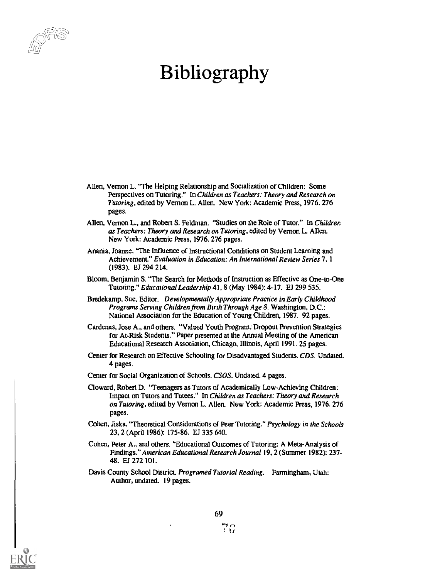

# Bibliography

- Allen, Vernon L. "The Helping Relationship and Socialization of Children: Some Perspectives on Tutoring." In Children as Teachers: Theory and Research on Tutoring, edited by Vernon L. Allen. New York: Academic Press, 1976. 276 pages.
- Allen, Vernon L., and Robert S. Feldman. "Studies on the Role of Tutor." In Children as Teachers: Theory and Research on Tutoring, edited by Vernon L. Allen. New York: Academic Press, 1976. 276 pages.
- Anania, Joanne. The Influence of Instructional Conditions on Student Learning and Achievement." Evaluation in Education: An International Review Series 7, 1 (1983). EJ 294 214.
- Bloom, Benjamin S. "The Search for Methods of Instruction as Effective as One-to-One Tutoring." Educational Leadership 41, 8 (May 1984): 4-17. EJ 299 535.
- Bredekamp, Sue, Editor. Developmentally Appropriate Practice in Early Childhood Programs Serving Children from Birth Through Age 8. Washington, D.C.: National Association for the Education of Young Children, 1987. 92 pages.
- Cardenas, Jose A., and others. "Valued Youth Program: Dropout Prevention Strategies for At-Risk Students." Paper presented at the Annual Meeting of the American Educational Research Association, Chicago, Illinois, April 1991.25 pages.
- Center for Research on Effective Schooling for Disadvantaged Students, CDS. Undated. 4 pages.
- Center for Social Organization of Schools. CSOS. Undated. 4 pages.
- Cloward, Robert D. "Teenagers as Tutors of Academically Low-Achieving Children: Impact on Tutors and Tutees." In Children as Teachers: Theory and Research on Tutoring, edited by Vernon L. Allen. New York: Academic Press, 1976. 276 pages.
- Cohen, Jiska. "Theoretical Considerations of Peer Tutoring." Psychology in the Schools 23, 2 (April 1986): 175-86. EJ 335 640.
- Cohen, Peter A., and others. "Educational Outcomes of Tutoring: A Meta-Analysis of Findings."American Educational Research Journal 19, 2 (Summer 1982): 237- 48. ES 272 101.
- Davis County School District. Programed Tutorial Reading. Farmingham, Utah: Author, undated. 19 pages.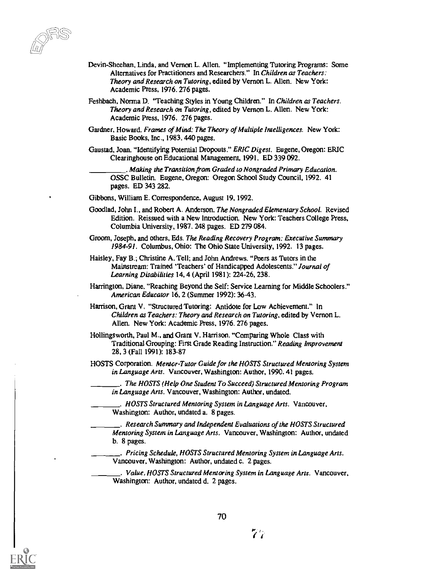- Devin-Sheehan, Linda, and Vernon L. Allen. "Implementing Tutoring Programs: Some Alternatives for Practitioners and Researchers." In Children as Teachers: Theory and Research on Tutoring, edited by Vernon L. Allen. New York: Academic Press, 1976. 276 pages.
- Feshbach. Norma D, 'Teaching Styles in Young Children." In Children as Teachers. Theory and Research on Tutoring, edited by Vernon L. Allen. New York: Academic Press, 1976. 276 pages.
- Gardner, Howard. Frames of Mind: The Theory of Multiple Imelligences. New York: Basic Books, Inc., 1983. 440 pages.
- Gaustad, Joan. "Identifying Potential Dropouts." ERIC Digest. Eugene, Oregon: ERIC Clearinghouse on Educational Management, 1991. ED 339 092.

. Making the Transition from Graded to Nongraded Primary Education. OSSC Bulletin. Eugene, Oregon: Oregon School Study Council, 1992. 41 pages. ED 343 282.

- Gibbons, William E. Correspondence, August 19. 1992.
- Goodlad, John I., and Robert A. Anderson. The Nongraded Elementary School. Revised Edition. Reissued with a New Introduction. New York: Teachers College Press, Columbia University, 1987. 248 pages. ED 279 084.
- Groom, Joseph, and others, Eds. The Reading Recovery Program: Executive Summary 1984-91. Columbus. Ohio: The Ohio State University, 1992. 13 pages.
- Haisley, Fay B.; Christine A. Tell; and John Andrews. "Peers as Tutors in the Mainstream: Trained 'Teachers' of Handicapped Adolescents." Journal of Learning Disabilities 14, 4 (April 1981): 224-26, 238.
- Harrington, Diane. "Reaching Beyond the Self: Service Learning for Middle Schoolers." American Educator 16, 2 (Summer 1992): 3643.
- Harrison, Grant V. "Structured Tutoring: Antidote for Low Achievement." In Children as Teachers: Theory and Research on Tutoring, edited by Vernon L. Allen. New York: Academic Press, 1976. 276 pages.
- Hollingsworth, Paul M., and Grant V. Harrison. "Comparing Whole Class with Traditional Grouping: First Grade Reading Instruction." Reading Improvement 28, 3 (Fall 1991): 183-87
- HOSTS Corporation. Mentor -Tutor Guide for the HOSTS Structured Mentoring System in Language Arts. Vancouver, Washington: Author, 1990. 41 pages.

. The HOSTS (Help One Student To Succeed) Structured Mentoring Program in Language Arts. Vancouver, Washington: Author, undated.

- . HOSTS Structured Mentoring System in Language Arts. Vancouver, Washington: Author, undated a. 8 pages.
- . Research Summary and Independent Evaluations of the HOSTS Structured Mentoring System in Language Arts. Vancouver, Washington: Author, undated b. 8 pages.
- . Pricing Schedule, HOSTS Structured Mentoring System in Language Arts. Vancouver, Washington: Author, undated c. 2 pages.

Value, HOSTS Structured Mentoring System in Language Arts. Vancouver, Washington: Author, undated d. 2 pages.



77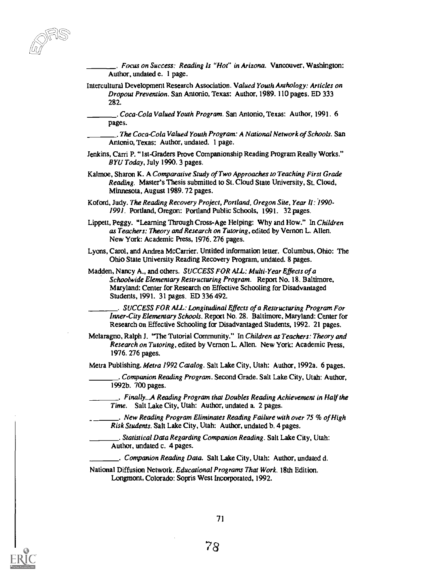. Focus on Success: Reading Is "Hot' in Arizona. Vancouver, Washington: Author, undated e. 1 page.

Intercultural Development Research Association. Valued Youth Anthology: Articles on Dropout Prevention. San Antonio, Texas: Author, 1989. 110 pages. ED 333 282.

. Coca-Cola Valued Youth Program. San Antonio, Texas: Author, 1991. 6 pages.

. The Coca-Cola Valued Youth Program: A National Network of Schools. San Antonio, Texas: Author, undated. 1 page.

- Jenkins, Carri P. "1st- Graders Prove Companionship Reading Program Really Works." BYU Today, July 1990. 3 pages.
- Kalmoe, Sharon K. A Comparative Study of Two Approaches to Teaching First Grade Reading. Master's Thesis submitted to St. Cloud State University, St. Cloud, Minnesota, August 1989. 72 pages.
- Koford, Judy. The Reading Recovery Project, Portland, Oregon Site, Year II: I 990- 1991. Portland, Oregon: Portland Public Schools, 1991. 32 pages.
- Lippett, Peggy. "Learning Through Cross-Age Helping: Why and How." In Children as Teachers: Theory and Research on Tutoring, edited by Vernon L. Allen. New York: Academic Press, 1976. 276 pages.
- Lyons, Carol, and Andrea McCarrier. Untitled information letter. Columbus, Ohio: The Ohio State University Reading Recovery Program, undated. 8 pages.
- Madden, Nancy A., and others. SUCCESS FOR ALL: Multi-Year Effects of a Schoolwide Elementary Restructuring Program. Report No. 18. Baltimore, Maryland: Center for Research on Effective Schooling for Disadvantaged Students, 1991. 31 pages. ED 336 492.

. SUCCESS FOR ALL: Longitudinal Effects of a Restructuring Program For Inner-City Elementary Schools. Report No. 28. Baltimore, Maryland: Center for Research on Effective Schooling for Disadvantaged Students, 1992. 21 pages.

Melaragno. Ralph J. "The Tutorial Community." In Children as Teachers: Theory and Research on Tutoring, edited by Vernon L. Allen. New York: Academic Press, 1976. 276 pages.

Metra Publishing. Metra 1992 Catalog. Salt Lake City, Utah: Author, 1992a. 6 pages.

. Companion Reading Program, Second Grade. Salt Lake City, Utah: Author, 1992b. 700 pages.

Finally...A Reading Program that Doubles Reading Achievement in Half the Time. Salt Lake City, Utah: Author, undated a. 2 pages.

New Reading Program Eliminates Reading Failure with over 75 % of High Risk Students. Salt Lake City, Utah: Author, undated b. 4 pages.

. Statistical Data Regarding Companion Reading. Salt Lake City, Utah: Author, undated c. 4 pages.

Companion Reading Data. Salt Lake City, Utah: Author, undated d.

National Diffusion Network. Educational Programs That Work. 18th Edition. Longmont, Colorado: Sopris West Incorporated, 1992.



78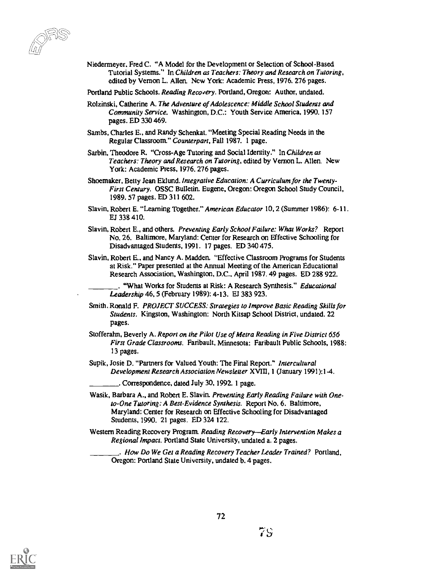Niedenneyer, Fred C. "A Model for the Development or Selection of School-Based Tutorial Systems." In Children as Teachers: Theory and Research on Tutoring, edited by Vernon L. Allen. Ncw York: Academic Press, 1976. 276 pages.

Portland Public Schools. Reading Recovery. Portland, Oregon: Author, undated.

- Rolzinski, Catherine A. The Adventure of Adolescence: Middle School Students and Community Service. Washington, D.C.: Youth Service America, 1990. 157 pages. ED 330 469.
- Sambs, Charles E., and Randy Schenkat. "Meeting Special Reading Needs in the Regular Classroom." Counterpart, Fall 1987. 1 page.
- Sarbin, Theodore R. "Cross-Age Tutoring and Social Identity." In Children as Teachers: Theory and Research on Tutoring, edited by Vernon L. Allen. New York: Academic Press, 1976. 276 pages.
- Shoemaker, Betty Jean Eklund. Integrative Education: A Curriculum for the Twenty-First Century. OSSC Bulletin. Eugene, Oregon: Oregon School Study Council, 1989.57 pages. ED 311 602.
- Slavin, Robert E. "Learning Together." American Educator 10, 2 (Summer 1986): 6-11. EJ 338 410.
- Slavin, Robert E., and others. Preventing Early School Failure: What Works? Report No. 26. Baltimore, Maryland: Center for Research on Effective Schooling for Disadvantaged Students, 1991. 17 pages. ED 340 475.
- Slavin, Robert E., and Nancy A. Madden. "Effective Classroom Programs for Students at Risk." Paper presented at the Annual Meeting of the American Educational Research Association, Washington, D.C., April 1987. 49 pages. ED 288 922.

"What Works for Students at Risk: A Research Synthesis." Educational Leadership 46, 5 (February 1989): 4-13. El 383 923.

- Smith, Ronald F. PROJECT SUCCESS: Strategies to Improve Basic Reading Skills for Students. Kingston, Washington: North Kitsap School District, undated. 22 pages.
- Stofferahn, Beverly A. Report on the Pilot Use of Metra Reading in Five District 656 First Grade Classrooms. Faribault, Minnesota: Faribault Public Schools, 1988: 13 pages.
- Supik, Josie D. "Partners for Valued Youth: The Final Report." Intercultural Development Research Association Newsletter XVIII, 1 (January 1991):1-4.
	- . Correspondence, dated July 30, 1992. 1 page.
- Wasik, Barbara A., and Robert E. Slavin. Preventing Early Reading Failure with Oneto-One Tutoring: A Best-Evidence Synthesis. Report No. 6. Baltimore, Maryland: Center for Research on Effective Schooling for Disadvantaged Students, 1990. 21 pages. ED 324 122.
- Western Reading Recovery Program. Reading Recovery-Early Intervention Makes a Regional Impact. Portland State University, undated a. 2 pages.

. flow Do We Get a Reading Recovery Teacher Leader Trained? Portland, Oregon: Portland State University, undated b. 4 pages.

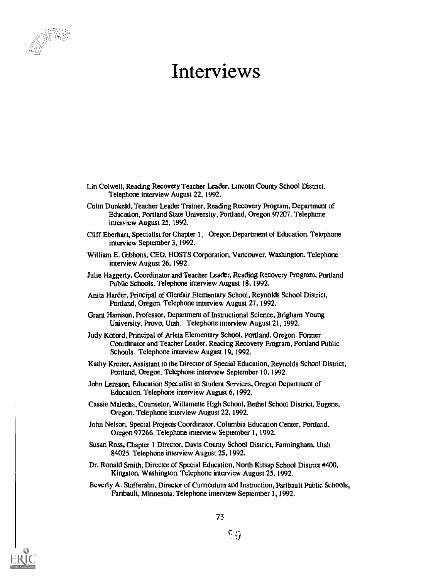

## Interviews

- Lin Colwell, Reading Recovery Teacher Leader, Lincoln County School District. Telephone interview August 22, 1992.
- Colin Dunkeld, Teacher Leader Trainer, Reading Recovery Program, Department of Education. Portland State University, Portland, Oregon 97207. Telephone interview August 25, 1992.
- Cliff Eberhart, Specialist for Chapter 1, Oregon Department of Education. Telephone interview September 3, 1992,
- William E. Gibbons, CEO, HOSTS Corporation, Vancouver, Washington. Telephone interview August 26, 1992.
- Julie Haggerty, Coordinator and Teacher Leader, Reading Recovery Program, Portland Public Schools. Telephone interview August 18, 1992.
- Anita Harder, Principal of Glenfair Elementary School, Reynolds School District. Portland, Oregon. Telephone interview August 27, 1992.
- Grant Harrison, Professor. Department of Instructional Science, Brigham Young University, Provo, Utah. Telephone interview August 21, 1992.
- Judy Koford, Principal of Arleta Elementary School, Portland, Oregon. Former Coordinator and Teacher Leader, Reading Recovery Program, Portland Public Schools. Telephone interview August 19, 1992.
- Kathy Kreiter, Assistant to the Director of Special Education, Reynolds School District, Portland, Oregon. Telephone interview September 10, 1992.
- John Lensson, Education Specialist in Student Services, Oregon Department of Education. Telephone interview August 6, 1992.
- Cassie Malecha, Counselor, Willamette High School, Bethel School District, Eugene, Oregon. Telephone interview August 22, 1992.
- John Nelson, Special Projects Coordinator, Columbia Education Center, Portland, Oregon 97266. Telephone interview September 1, 1992.
- Susan Ross, Chapter 1 Director, Davis County School District, Farmingham, Utah 84025. Telephone interview August 25, 1992.
- Dr. Ronald Smith, Director of Special Education, North Kitsap School District #400, Kingston, Washington. Telephone interview August 25, 1992.
- Beverly A. Stofferahn, Director of Curriculum and Instruction, Faribault Public Schools, Faribault, Minnesota. Telephone interview September 1. 1992.

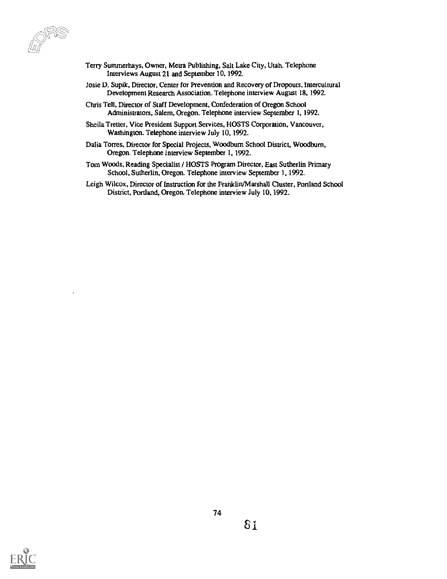- Terry Summerhays, Owner, Metra Publishing, Salt Lake City, Utah. Telephone Interviews August 21 and September 10, 1992.
- Josie D. Supik, Director, Center for Prevention and Recovery of Dropouts, Intercultural Development Research Association. Telephone interview August 18, 1992.
- Chris Tell, Director of Staff Development, Confederation of Oregon School Administrators, Salem, Oregon. Telephone interview September 1, 1992.
- Sheila Tretter, Vice President Support Services, HOSTS Corporation, Vancouver, Washington. Telephone interview July 10, 1992.
- Dalia Torres, Director for Special Projects, Woodbum School District, Woodburn, Oregon. Telephone interview September I, 1992.
- Tom Woods, Reading Specialist / HOSTS Program Director, East Sutherlin Primary School, Sutherlin, Oregon. Telephone interview September 1, 1992.
- Leigh Wilcox, Director of Instruction for Ihe Franklin/Marshall Cluster, Portland School District, Portland, Oregon. Telephone interview July 10, 1992.